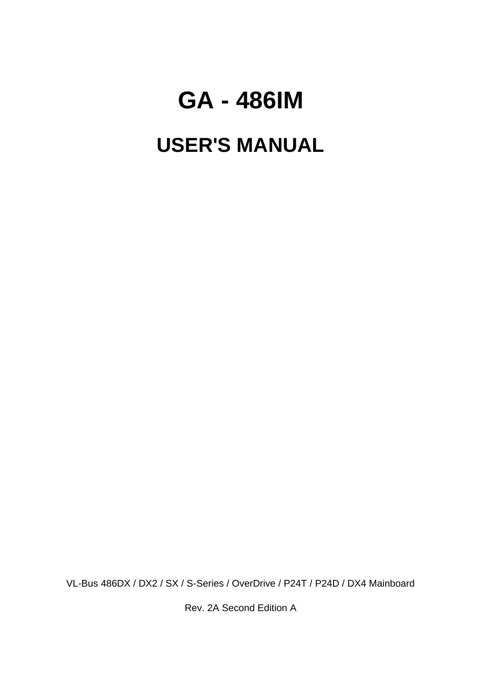# **GA - 486IM**

# **USER'S MANUAL**

VL-Bus 486DX / DX2 / SX / S-Series / OverDrive / P24T / P24D / DX4 Mainboard

Rev. 2A Second Edition A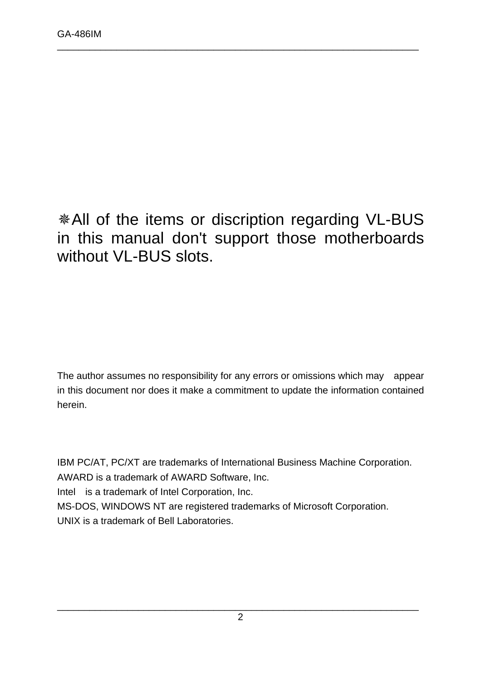**\*All of the items or discription regarding VL-BUS** in this manual don't support those motherboards without VL-BUS slots.

\_\_\_\_\_\_\_\_\_\_\_\_\_\_\_\_\_\_\_\_\_\_\_\_\_\_\_\_\_\_\_\_\_\_\_\_\_\_\_\_\_\_\_\_\_\_\_\_\_\_\_\_\_\_\_\_\_\_\_\_\_\_\_\_\_\_\_

The author assumes no responsibility for any errors or omissions which may appear in this document nor does it make a commitment to update the information contained herein.

IBM PC/AT, PC/XT are trademarks of International Business Machine Corporation. AWARD is a trademark of AWARD Software, Inc. Intel is a trademark of Intel Corporation, Inc. MS-DOS, WINDOWS NT are registered trademarks of Microsoft Corporation. UNIX is a trademark of Bell Laboratories.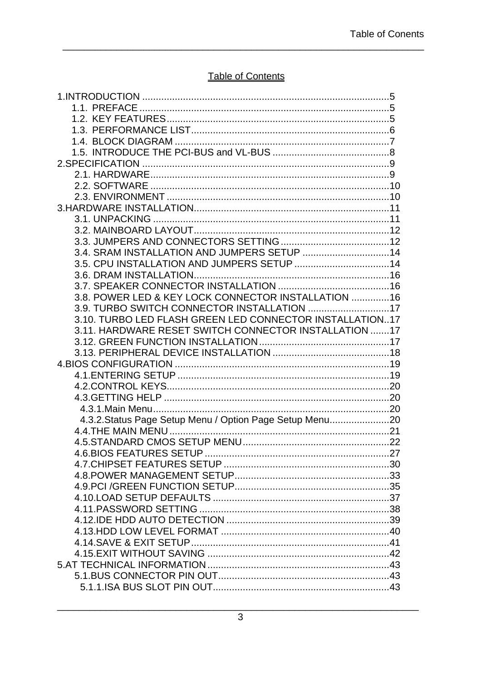### Table of Contents

| 3.5. CPU INSTALLATION AND JUMPERS SETUP  14              |  |
|----------------------------------------------------------|--|
|                                                          |  |
|                                                          |  |
| 3.8. POWER LED & KEY LOCK CONNECTOR INSTALLATION  16     |  |
| 3.9. TURBO SWITCH CONNECTOR INSTALLATION 17              |  |
| 3.10. TURBO LED FLASH GREEN LED CONNECTOR INSTALLATION17 |  |
| 3.11. HARDWARE RESET SWITCH CONNECTOR INSTALLATION 17    |  |
|                                                          |  |
|                                                          |  |
|                                                          |  |
|                                                          |  |
|                                                          |  |
|                                                          |  |
|                                                          |  |
| 4.3.2. Status Page Setup Menu / Option Page Setup Menu20 |  |
|                                                          |  |
|                                                          |  |
|                                                          |  |
|                                                          |  |
|                                                          |  |
|                                                          |  |
|                                                          |  |
|                                                          |  |
|                                                          |  |
|                                                          |  |
|                                                          |  |
|                                                          |  |
|                                                          |  |
|                                                          |  |
|                                                          |  |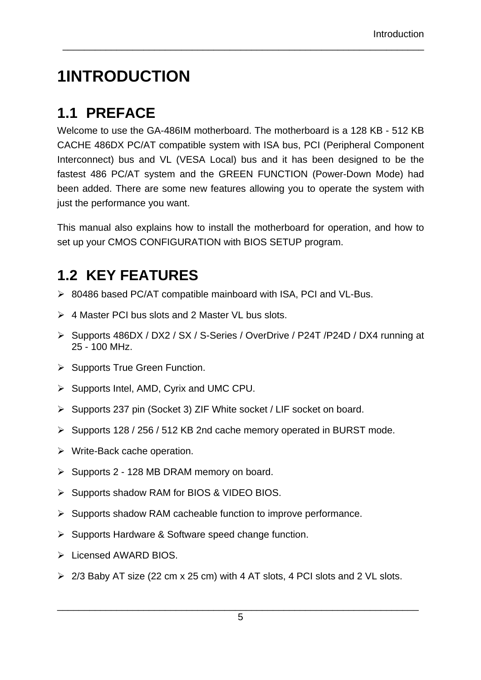# **1INTRODUCTION**

## **1.1 PREFACE**

Welcome to use the GA-486IM motherboard. The motherboard is a 128 KB - 512 KB CACHE 486DX PC/AT compatible system with ISA bus, PCI (Peripheral Component Interconnect) bus and VL (VESA Local) bus and it has been designed to be the fastest 486 PC/AT system and the GREEN FUNCTION (Power-Down Mode) had been added. There are some new features allowing you to operate the system with just the performance you want.

\_\_\_\_\_\_\_\_\_\_\_\_\_\_\_\_\_\_\_\_\_\_\_\_\_\_\_\_\_\_\_\_\_\_\_\_\_\_\_\_\_\_\_\_\_\_\_\_\_\_\_\_\_\_\_\_\_\_\_\_\_\_\_\_\_\_\_

This manual also explains how to install the motherboard for operation, and how to set up your CMOS CONFIGURATION with BIOS SETUP program.

## **1.2 KEY FEATURES**

- $\geq$  80486 based PC/AT compatible mainboard with ISA, PCI and VL-Bus.
- $\triangleright$  4 Master PCI bus slots and 2 Master VL bus slots.
- ÿ Supports 486DX / DX2 / SX / S-Series / OverDrive / P24T /P24D / DX4 running at 25 - 100 MHz.
- $\triangleright$  Supports True Green Function.
- $\triangleright$  Supports Intel, AMD, Cyrix and UMC CPU.
- $\triangleright$  Supports 237 pin (Socket 3) ZIF White socket / LIF socket on board.
- ÿ Supports 128 / 256 / 512 KB 2nd cache memory operated in BURST mode.
- $\triangleright$  Write-Back cache operation.
- $\triangleright$  Supports 2 128 MB DRAM memory on board.
- ▶ Supports shadow RAM for BIOS & VIDEO BIOS.
- $\triangleright$  Supports shadow RAM cacheable function to improve performance.
- $\triangleright$  Supports Hardware & Software speed change function.
- $\triangleright$  Licensed AWARD BIOS.
- $\geq 2/3$  Baby AT size (22 cm x 25 cm) with 4 AT slots, 4 PCI slots and 2 VL slots.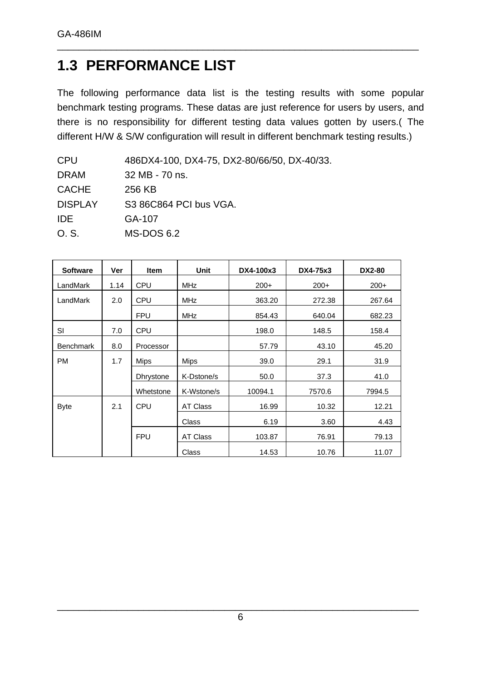### **1.3 PERFORMANCE LIST**

The following performance data list is the testing results with some popular benchmark testing programs. These datas are just reference for users by users, and there is no responsibility for different testing data values gotten by users.( The different H/W & S/W configuration will result in different benchmark testing results.)

| 486DX4-100, DX4-75, DX2-80/66/50, DX-40/33. |
|---------------------------------------------|
| 32 MB - 70 ns.                              |
| 256 KB                                      |
| S3 86C864 PCI bus VGA.                      |
| GA-107                                      |
| MS-DOS 6.2                                  |
|                                             |

| <b>Software</b>  | Ver  | <b>Item</b>      | <b>Unit</b> | DX4-100x3 | DX4-75x3 | <b>DX2-80</b> |
|------------------|------|------------------|-------------|-----------|----------|---------------|
| LandMark         | 1.14 | <b>CPU</b>       | <b>MHz</b>  | $200+$    | $200+$   | $200+$        |
| LandMark         | 2.0  | <b>CPU</b>       | <b>MHz</b>  | 363.20    | 272.38   | 267.64        |
|                  |      | <b>FPU</b>       | <b>MHz</b>  | 854.43    | 640.04   | 682.23        |
| <b>SI</b>        | 7.0  | <b>CPU</b>       |             | 198.0     | 148.5    | 158.4         |
| <b>Benchmark</b> | 8.0  | Processor        |             | 57.79     | 43.10    | 45.20         |
| <b>PM</b>        | 1.7  | <b>Mips</b>      | <b>Mips</b> | 39.0      | 29.1     | 31.9          |
|                  |      | <b>Dhrystone</b> | K-Dstone/s  | 50.0      | 37.3     | 41.0          |
|                  |      | Whetstone        | K-Wstone/s  | 10094.1   | 7570.6   | 7994.5        |
| <b>Byte</b>      | 2.1  | <b>CPU</b>       | AT Class    | 16.99     | 10.32    | 12.21         |
|                  |      |                  | Class       | 6.19      | 3.60     | 4.43          |
|                  |      | <b>FPU</b>       | AT Class    | 103.87    | 76.91    | 79.13         |
|                  |      |                  | Class       | 14.53     | 10.76    | 11.07         |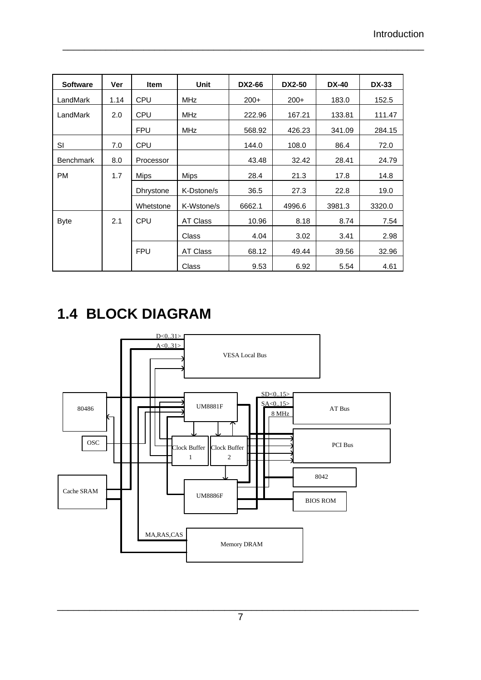| <b>Software</b>  | Ver  | <b>Item</b>      | <b>Unit</b> | <b>DX2-66</b> | <b>DX2-50</b> | <b>DX-40</b> | <b>DX-33</b> |
|------------------|------|------------------|-------------|---------------|---------------|--------------|--------------|
| LandMark         | 1.14 | <b>CPU</b>       | <b>MHz</b>  | $200+$        | $200+$        | 183.0        | 152.5        |
| LandMark         | 2.0  | <b>CPU</b>       | <b>MHz</b>  | 222.96        | 167.21        | 133.81       | 111.47       |
|                  |      | <b>FPU</b>       | <b>MHz</b>  | 568.92        | 426.23        | 341.09       | 284.15       |
| SI               | 7.0  | <b>CPU</b>       |             | 144.0         | 108.0         | 86.4         | 72.0         |
| <b>Benchmark</b> | 8.0  | Processor        |             | 43.48         | 32.42         | 28.41        | 24.79        |
| <b>PM</b>        | 1.7  | Mips             | <b>Mips</b> | 28.4          | 21.3          | 17.8         | 14.8         |
|                  |      | <b>Dhrystone</b> | K-Dstone/s  | 36.5          | 27.3          | 22.8         | 19.0         |
|                  |      | Whetstone        | K-Wstone/s  | 6662.1        | 4996.6        | 3981.3       | 3320.0       |
| <b>Byte</b>      | 2.1  | <b>CPU</b>       | AT Class    | 10.96         | 8.18          | 8.74         | 7.54         |
|                  |      |                  | Class       | 4.04          | 3.02          | 3.41         | 2.98         |
|                  |      | <b>FPU</b>       | AT Class    | 68.12         | 49.44         | 39.56        | 32.96        |
|                  |      |                  | Class       | 9.53          | 6.92          | 5.54         | 4.61         |

\_\_\_\_\_\_\_\_\_\_\_\_\_\_\_\_\_\_\_\_\_\_\_\_\_\_\_\_\_\_\_\_\_\_\_\_\_\_\_\_\_\_\_\_\_\_\_\_\_\_\_\_\_\_\_\_\_\_\_\_\_\_\_\_\_\_\_

# **1.4 BLOCK DIAGRAM**

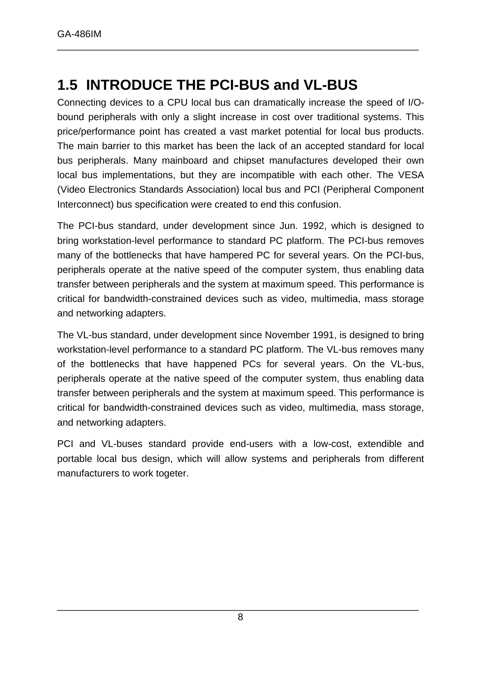### **1.5 INTRODUCE THE PCI-BUS and VL-BUS**

Connecting devices to a CPU local bus can dramatically increase the speed of I/Obound peripherals with only a slight increase in cost over traditional systems. This price/performance point has created a vast market potential for local bus products. The main barrier to this market has been the lack of an accepted standard for local bus peripherals. Many mainboard and chipset manufactures developed their own local bus implementations, but they are incompatible with each other. The VESA (Video Electronics Standards Association) local bus and PCI (Peripheral Component Interconnect) bus specification were created to end this confusion.

\_\_\_\_\_\_\_\_\_\_\_\_\_\_\_\_\_\_\_\_\_\_\_\_\_\_\_\_\_\_\_\_\_\_\_\_\_\_\_\_\_\_\_\_\_\_\_\_\_\_\_\_\_\_\_\_\_\_\_\_\_\_\_\_\_\_\_

The PCI-bus standard, under development since Jun. 1992, which is designed to bring workstation-level performance to standard PC platform. The PCI-bus removes many of the bottlenecks that have hampered PC for several years. On the PCI-bus, peripherals operate at the native speed of the computer system, thus enabling data transfer between peripherals and the system at maximum speed. This performance is critical for bandwidth-constrained devices such as video, multimedia, mass storage and networking adapters.

The VL-bus standard, under development since November 1991, is designed to bring workstation-level performance to a standard PC platform. The VL-bus removes many of the bottlenecks that have happened PCs for several years. On the VL-bus, peripherals operate at the native speed of the computer system, thus enabling data transfer between peripherals and the system at maximum speed. This performance is critical for bandwidth-constrained devices such as video, multimedia, mass storage, and networking adapters.

PCI and VL-buses standard provide end-users with a low-cost, extendible and portable local bus design, which will allow systems and peripherals from different manufacturers to work togeter.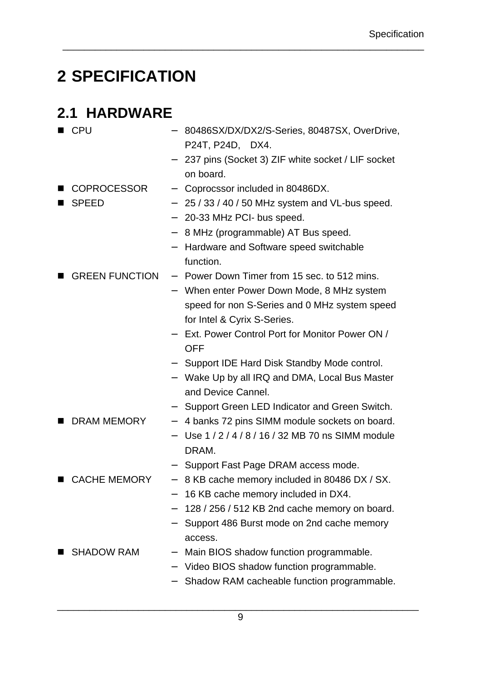# **2 SPECIFICATION**

### **2.1 HARDWARE**

| <b>CPU</b>            |                          | 80486SX/DX/DX2/S-Series, 80487SX, OverDrive,      |
|-----------------------|--------------------------|---------------------------------------------------|
|                       |                          | P24T, P24D, DX4.                                  |
|                       |                          | 237 pins (Socket 3) ZIF white socket / LIF socket |
|                       |                          | on board.                                         |
| <b>COPROCESSOR</b>    | $\overline{\phantom{0}}$ | Coprocssor included in 80486DX.                   |
| <b>SPEED</b>          | $\overline{\phantom{0}}$ | 25 / 33 / 40 / 50 MHz system and VL-bus speed.    |
|                       |                          | 20-33 MHz PCI- bus speed.                         |
|                       | $\qquad \qquad -$        | 8 MHz (programmable) AT Bus speed.                |
|                       |                          | Hardware and Software speed switchable            |
|                       |                          | function.                                         |
| <b>GREEN FUNCTION</b> |                          | - Power Down Timer from 15 sec. to 512 mins.      |
|                       |                          | - When enter Power Down Mode, 8 MHz system        |
|                       |                          | speed for non S-Series and 0 MHz system speed     |
|                       |                          | for Intel & Cyrix S-Series.                       |
|                       |                          | Ext. Power Control Port for Monitor Power ON /    |
|                       |                          | <b>OFF</b>                                        |
|                       |                          | Support IDE Hard Disk Standby Mode control.       |
|                       |                          | Wake Up by all IRQ and DMA, Local Bus Master      |
|                       |                          | and Device Cannel.                                |
|                       |                          | Support Green LED Indicator and Green Switch.     |
| <b>DRAM MEMORY</b>    | $\overline{\phantom{m}}$ | 4 banks 72 pins SIMM module sockets on board.     |
|                       |                          | Use 1/2/4/8/16/32 MB 70 ns SIMM module            |
|                       |                          | DRAM.                                             |
|                       |                          | Support Fast Page DRAM access mode.               |
| CACHE MEMORY          | $\overline{\phantom{m}}$ | 8 KB cache memory included in 80486 DX / SX.      |
|                       |                          | 16 KB cache memory included in DX4.               |
|                       |                          | 128 / 256 / 512 KB 2nd cache memory on board.     |
|                       |                          | Support 486 Burst mode on 2nd cache memory        |
|                       |                          | access.                                           |
| <b>SHADOW RAM</b>     |                          | Main BIOS shadow function programmable.           |
|                       |                          | Video BIOS shadow function programmable.          |
|                       |                          | Shadow RAM cacheable function programmable.       |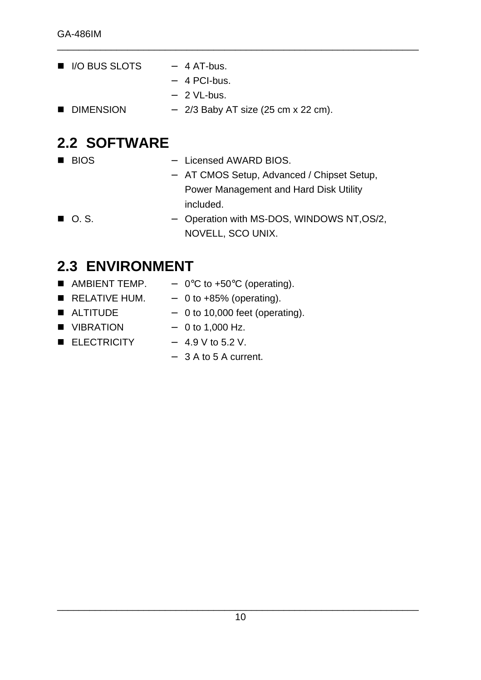- $\blacksquare$  I/O BUS SLOTS  $-4$  AT-bus. − 4 PCI-bus. − 2 VL-bus.
- DIMENSION  $-$  2/3 Baby AT size (25 cm x 22 cm).

### **2.2 SOFTWARE**

- 
- BIOS Licensed AWARD BIOS.

\_\_\_\_\_\_\_\_\_\_\_\_\_\_\_\_\_\_\_\_\_\_\_\_\_\_\_\_\_\_\_\_\_\_\_\_\_\_\_\_\_\_\_\_\_\_\_\_\_\_\_\_\_\_\_\_\_\_\_\_\_\_\_\_\_\_\_

- − AT CMOS Setup, Advanced / Chipset Setup, Power Management and Hard Disk Utility included.
- O. S. → Operation with MS-DOS, WINDOWS NT, OS/2, NOVELL, SCO UNIX.

### **2.3 ENVIRONMENT**

■ AMBIENT TEMP.  $-$  0°C to +50°C (operating).  $R$  RELATIVE HUM.  $-$  0 to +85% (operating). ■ ALTITUDE  $-$  0 to 10,000 feet (operating). ■ VIBRATION  $-$  0 to 1,000 Hz.  $\blacksquare$  ELECTRICITY  $-4.9 \text{ V to } 5.2 \text{ V.}$ − 3 A to 5 A current.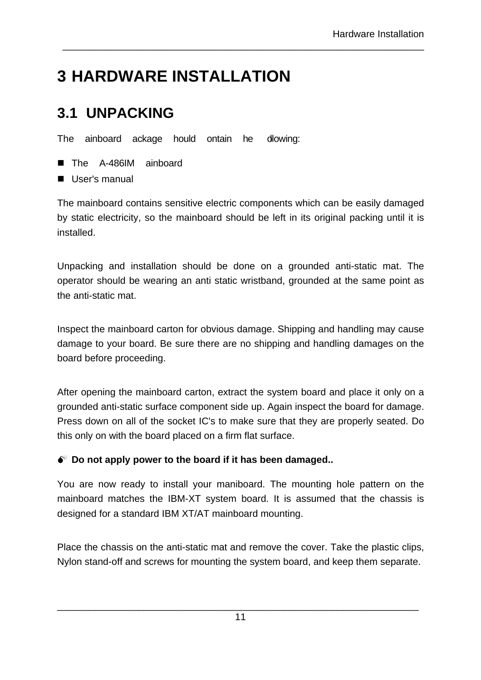# **3 HARDWARE INSTALLATION**

## **3.1 UNPACKING**

The ainboard ackage hould ontain he dlowing:

- The A-486IM ainboard
- $\blacksquare$  User's manual

The mainboard contains sensitive electric components which can be easily damaged by static electricity, so the mainboard should be left in its original packing until it is installed.

\_\_\_\_\_\_\_\_\_\_\_\_\_\_\_\_\_\_\_\_\_\_\_\_\_\_\_\_\_\_\_\_\_\_\_\_\_\_\_\_\_\_\_\_\_\_\_\_\_\_\_\_\_\_\_\_\_\_\_\_\_\_\_\_\_\_\_

Unpacking and installation should be done on a grounded anti-static mat. The operator should be wearing an anti static wristband, grounded at the same point as the anti-static mat.

Inspect the mainboard carton for obvious damage. Shipping and handling may cause damage to your board. Be sure there are no shipping and handling damages on the board before proceeding.

After opening the mainboard carton, extract the system board and place it only on a grounded anti-static surface component side up. Again inspect the board for damage. Press down on all of the socket IC's to make sure that they are properly seated. Do this only on with the board placed on a firm flat surface.

### $\bullet^*$  Do not apply power to the board if it has been damaged..

You are now ready to install your maniboard. The mounting hole pattern on the mainboard matches the IBM-XT system board. It is assumed that the chassis is designed for a standard IBM XT/AT mainboard mounting.

Place the chassis on the anti-static mat and remove the cover. Take the plastic clips, Nylon stand-off and screws for mounting the system board, and keep them separate.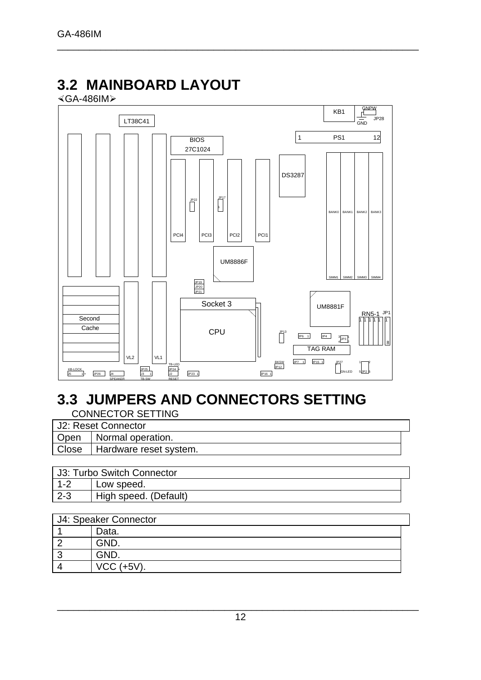## **3.2 MAINBOARD LAYOUT**

×GA-486IMÿ



\_\_\_\_\_\_\_\_\_\_\_\_\_\_\_\_\_\_\_\_\_\_\_\_\_\_\_\_\_\_\_\_\_\_\_\_\_\_\_\_\_\_\_\_\_\_\_\_\_\_\_\_\_\_\_\_\_\_\_\_\_\_\_\_\_\_\_

## **3.3 JUMPERS AND CONNECTORS SETTING**

CONNECTOR SETTING

| U2: Reset Connector            |  |
|--------------------------------|--|
| Open   Normal operation.       |  |
| Close   Hardware reset system. |  |
|                                |  |

| J3: Turbo Switch Connector |                       |
|----------------------------|-----------------------|
| $1 - 2$                    | Low speed.            |
| $2-3$                      | High speed. (Default) |

| J4: Speaker Connector |                 |  |  |
|-----------------------|-----------------|--|--|
|                       | Data.           |  |  |
|                       | GND.            |  |  |
|                       | GND.            |  |  |
|                       | $VCC$ $(+5V)$ . |  |  |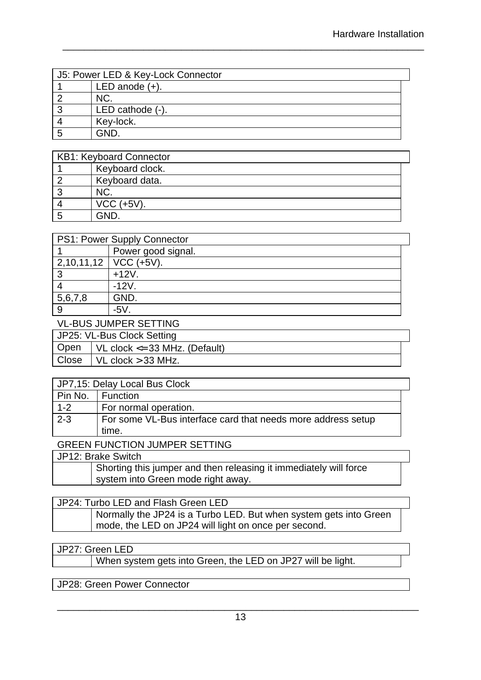| J5: Power LED & Key-Lock Connector |                     |  |  |
|------------------------------------|---------------------|--|--|
|                                    | LED anode $(+)$ .   |  |  |
|                                    | NC.                 |  |  |
| າ                                  | LED cathode $(-)$ . |  |  |
|                                    | Key-lock.           |  |  |
|                                    | GND                 |  |  |

\_\_\_\_\_\_\_\_\_\_\_\_\_\_\_\_\_\_\_\_\_\_\_\_\_\_\_\_\_\_\_\_\_\_\_\_\_\_\_\_\_\_\_\_\_\_\_\_\_\_\_\_\_\_\_\_\_\_\_\_\_\_\_\_\_\_\_

| <b>KB1: Keyboard Connector</b> |  |  |  |  |
|--------------------------------|--|--|--|--|
| Keyboard clock.                |  |  |  |  |
| Keyboard data.                 |  |  |  |  |
| NC.                            |  |  |  |  |
| $VCC$ (+5V).                   |  |  |  |  |
| GND                            |  |  |  |  |

| PS1: Power Supply Connector |                           |  |  |  |
|-----------------------------|---------------------------|--|--|--|
|                             | Power good signal.        |  |  |  |
|                             | $2,10,11,12$   VCC (+5V). |  |  |  |
| 3                           | $+12V$ .                  |  |  |  |
|                             | $-12V$ .                  |  |  |  |
| 5,6,7,8                     | GND.                      |  |  |  |
| 9                           | $-5V$ .                   |  |  |  |
| VI-BUS JUMPER SETTING       |                           |  |  |  |

|                            | VE DOO JONIE ER OE FIJNO          |  |  |  |
|----------------------------|-----------------------------------|--|--|--|
| JP25: VL-Bus Clock Setting |                                   |  |  |  |
| <b>Open</b>                | VL clock $\leq$ 33 MHz. (Default) |  |  |  |
| Close                      | $\vert$ VL clock $>$ 33 MHz.      |  |  |  |
|                            |                                   |  |  |  |

| JP7,15: Delay Local Bus Clock |                                                              |  |  |
|-------------------------------|--------------------------------------------------------------|--|--|
| Pin No.                       | <b>Function</b>                                              |  |  |
| $1 - 2$                       | For normal operation.                                        |  |  |
| $2 - 3$                       | For some VL-Bus interface card that needs more address setup |  |  |
|                               | time.                                                        |  |  |
| $\overline{O}$                |                                                              |  |  |

#### GREEN FUNCTION JUMPER SETTING

| JP12: Brake Switch                                                                                      |
|---------------------------------------------------------------------------------------------------------|
| Shorting this jumper and then releasing it immediately will force<br>system into Green mode right away. |
|                                                                                                         |

#### JP24: Turbo LED and Flash Green LED Normally the JP24 is a Turbo LED. But when system gets into Green mode, the LED on JP24 will light on once per second.

#### JP27: Green LED

When system gets into Green, the LED on JP27 will be light.

JP28: Green Power Connector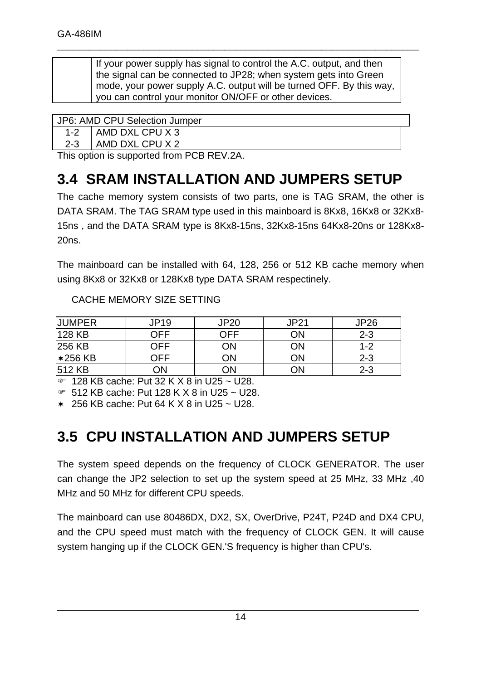| If your power supply has signal to control the A.C. output, and then |
|----------------------------------------------------------------------|
| the signal can be connected to JP28; when system gets into Green     |
| mode, your power supply A.C. output will be turned OFF. By this way, |
| you can control your monitor ON/OFF or other devices.                |

\_\_\_\_\_\_\_\_\_\_\_\_\_\_\_\_\_\_\_\_\_\_\_\_\_\_\_\_\_\_\_\_\_\_\_\_\_\_\_\_\_\_\_\_\_\_\_\_\_\_\_\_\_\_\_\_\_\_\_\_\_\_\_\_\_\_\_

|         | JP6: AMD CPU Selection Jumper              |  |  |  |
|---------|--------------------------------------------|--|--|--|
|         |                                            |  |  |  |
| $1 - 2$ | AMD DXL CPU X 3                            |  |  |  |
| $2 - 3$ | I AMD DXL CPU X 2                          |  |  |  |
|         | This spring is supported from DCD DEV $98$ |  |  |  |

This option is supported from PCB REV.2A.

## **3.4 SRAM INSTALLATION AND JUMPERS SETUP**

The cache memory system consists of two parts, one is TAG SRAM, the other is DATA SRAM. The TAG SRAM type used in this mainboard is 8Kx8, 16Kx8 or 32Kx8- 15ns , and the DATA SRAM type is 8Kx8-15ns, 32Kx8-15ns 64Kx8-20ns or 128Kx8- 20ns.

The mainboard can be installed with 64, 128, 256 or 512 KB cache memory when using 8Kx8 or 32Kx8 or 128Kx8 type DATA SRAM respectinely.

| <b>JUMPER</b> | JP19 | JP20 | <b>JP21</b> | JP26    |
|---------------|------|------|-------------|---------|
| 128 KB        | ∩FF  | ヿFF  | ОN          | $2 - 3$ |
| 256 KB        | OFF  | ЭN   | ΟN          | $1 - 2$ |
| $*256$ KB     | OFF  | JN   | ОN          | $2 - 3$ |
| 512 KB        | 7N   | )N   | ОN          | $2 - 3$ |

 $\overline{F}$  128 KB cache: Put 32 K X 8 in U25 ~ U28.

 $\degree$  512 KB cache: Put 128 K X 8 in U25 ~ U28.

 $*$  256 KB cache: Put 64 K X 8 in U25 ~ U28.

### **3.5 CPU INSTALLATION AND JUMPERS SETUP**

The system speed depends on the frequency of CLOCK GENERATOR. The user can change the JP2 selection to set up the system speed at 25 MHz, 33 MHz ,40 MHz and 50 MHz for different CPU speeds.

The mainboard can use 80486DX, DX2, SX, OverDrive, P24T, P24D and DX4 CPU, and the CPU speed must match with the frequency of CLOCK GEN. It will cause system hanging up if the CLOCK GEN.'S frequency is higher than CPU's.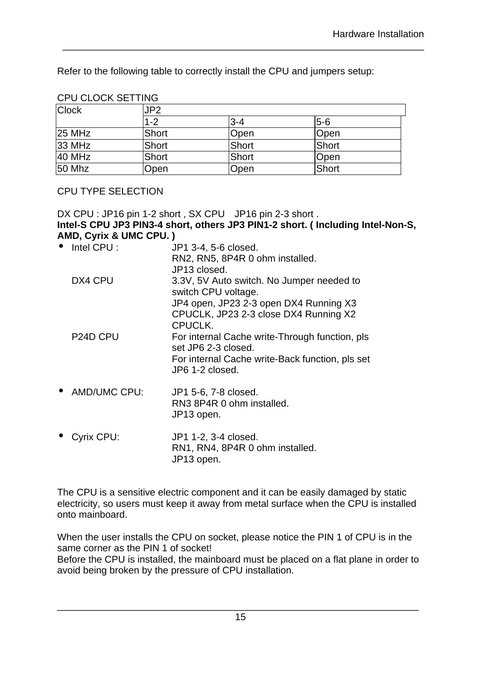Refer to the following table to correctly install the CPU and jumpers setup:

| <b>Clock</b>  | JP2          |       |       |  |  |
|---------------|--------------|-------|-------|--|--|
|               | $1 - 2$      | l3-4  | $5-6$ |  |  |
| <b>25 MHz</b> | <b>Short</b> | Open  | Open  |  |  |
| 33 MHz        | <b>Short</b> | Short | Short |  |  |
| 40 MHz        | <b>Short</b> | Short | Open  |  |  |
| 50 Mhz        | Open         | Open  | Short |  |  |

\_\_\_\_\_\_\_\_\_\_\_\_\_\_\_\_\_\_\_\_\_\_\_\_\_\_\_\_\_\_\_\_\_\_\_\_\_\_\_\_\_\_\_\_\_\_\_\_\_\_\_\_\_\_\_\_\_\_\_\_\_\_\_\_\_\_\_

#### CPU CLOCK SETTING

#### CPU TYPE SELECTION

DX CPU : JP16 pin 1-2 short, SX CPU JP16 pin 2-3 short. **Intel-S CPU JP3 PIN3-4 short, others JP3 PIN1-2 short. ( Including Intel-Non-S, AMD, Cyrix & UMC CPU. )**

| • Intel CPU :         | JP1 3-4, 5-6 closed.                                                  |
|-----------------------|-----------------------------------------------------------------------|
|                       | RN2, RN5, 8P4R 0 ohm installed.                                       |
|                       | JP13 closed.                                                          |
| DX4 CPU               | 3.3V, 5V Auto switch. No Jumper needed to<br>switch CPU voltage.      |
|                       | JP4 open, JP23 2-3 open DX4 Running X3                                |
|                       | CPUCLK, JP23 2-3 close DX4 Running X2                                 |
|                       | CPUCLK.                                                               |
| P <sub>24</sub> D CPU | For internal Cache write-Through function, pls<br>set JP6 2-3 closed. |
|                       | For internal Cache write-Back function, pls set<br>JP6 1-2 closed.    |
| • AMD/UMC CPU:        | JP1 5-6, 7-8 closed.                                                  |
|                       | RN3 8P4R 0 ohm installed.                                             |
|                       | JP13 open.                                                            |
| • Cyrix CPU:          | JP1 1-2, 3-4 closed.                                                  |

RN1, RN4, 8P4R 0 ohm installed. JP13 open.

The CPU is a sensitive electric component and it can be easily damaged by static electricity, so users must keep it away from metal surface when the CPU is installed onto mainboard.

When the user installs the CPU on socket, please notice the PIN 1 of CPU is in the same corner as the PIN 1 of socket!

Before the CPU is installed, the mainboard must be placed on a flat plane in order to avoid being broken by the pressure of CPU installation.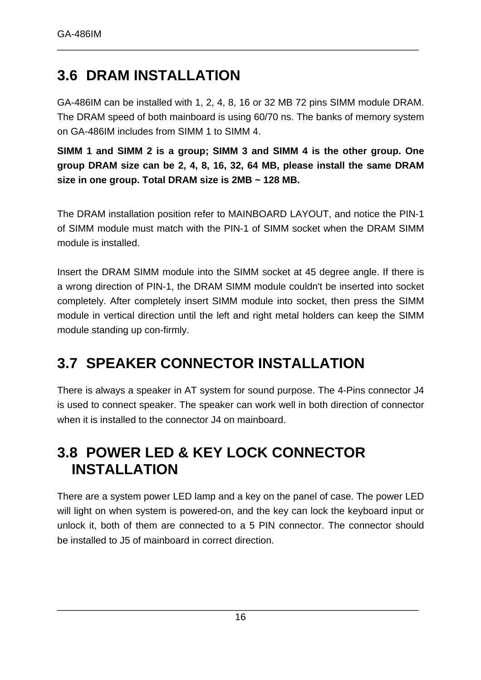### **3.6 DRAM INSTALLATION**

GA-486IM can be installed with 1, 2, 4, 8, 16 or 32 MB 72 pins SIMM module DRAM. The DRAM speed of both mainboard is using 60/70 ns. The banks of memory system on GA-486IM includes from SIMM 1 to SIMM 4.

\_\_\_\_\_\_\_\_\_\_\_\_\_\_\_\_\_\_\_\_\_\_\_\_\_\_\_\_\_\_\_\_\_\_\_\_\_\_\_\_\_\_\_\_\_\_\_\_\_\_\_\_\_\_\_\_\_\_\_\_\_\_\_\_\_\_\_

**SIMM 1 and SIMM 2 is a group; SIMM 3 and SIMM 4 is the other group. One group DRAM size can be 2, 4, 8, 16, 32, 64 MB, please install the same DRAM size in one group. Total DRAM size is 2MB ~ 128 MB.**

The DRAM installation position refer to MAINBOARD LAYOUT, and notice the PIN-1 of SIMM module must match with the PIN-1 of SIMM socket when the DRAM SIMM module is installed.

Insert the DRAM SIMM module into the SIMM socket at 45 degree angle. If there is a wrong direction of PIN-1, the DRAM SIMM module couldn't be inserted into socket completely. After completely insert SIMM module into socket, then press the SIMM module in vertical direction until the left and right metal holders can keep the SIMM module standing up con-firmly.

## **3.7 SPEAKER CONNECTOR INSTALLATION**

There is always a speaker in AT system for sound purpose. The 4-Pins connector J4 is used to connect speaker. The speaker can work well in both direction of connector when it is installed to the connector J4 on mainboard.

### **3.8 POWER LED & KEY LOCK CONNECTOR INSTALLATION**

There are a system power LED lamp and a key on the panel of case. The power LED will light on when system is powered-on, and the key can lock the keyboard input or unlock it, both of them are connected to a 5 PIN connector. The connector should be installed to J5 of mainboard in correct direction.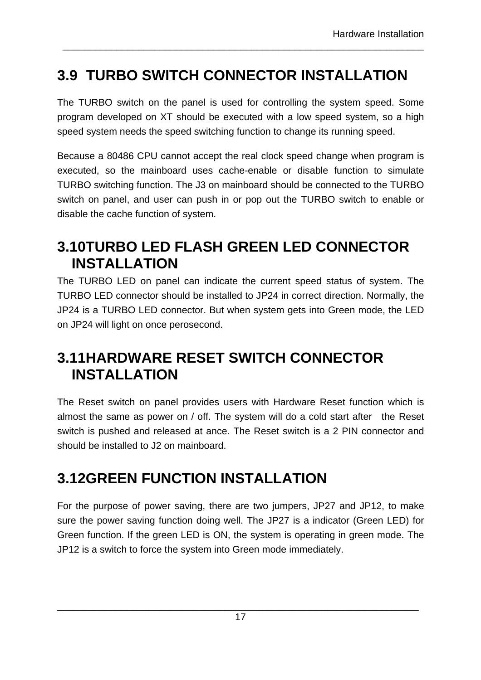## **3.9 TURBO SWITCH CONNECTOR INSTALLATION**

The TURBO switch on the panel is used for controlling the system speed. Some program developed on XT should be executed with a low speed system, so a high speed system needs the speed switching function to change its running speed.

\_\_\_\_\_\_\_\_\_\_\_\_\_\_\_\_\_\_\_\_\_\_\_\_\_\_\_\_\_\_\_\_\_\_\_\_\_\_\_\_\_\_\_\_\_\_\_\_\_\_\_\_\_\_\_\_\_\_\_\_\_\_\_\_\_\_\_

Because a 80486 CPU cannot accept the real clock speed change when program is executed, so the mainboard uses cache-enable or disable function to simulate TURBO switching function. The J3 on mainboard should be connected to the TURBO switch on panel, and user can push in or pop out the TURBO switch to enable or disable the cache function of system.

## **3.10TURBO LED FLASH GREEN LED CONNECTOR INSTALLATION**

The TURBO LED on panel can indicate the current speed status of system. The TURBO LED connector should be installed to JP24 in correct direction. Normally, the JP24 is a TURBO LED connector. But when system gets into Green mode, the LED on JP24 will light on once perosecond.

## **3.11HARDWARE RESET SWITCH CONNECTOR INSTALLATION**

The Reset switch on panel provides users with Hardware Reset function which is almost the same as power on / off. The system will do a cold start after the Reset switch is pushed and released at ance. The Reset switch is a 2 PIN connector and should be installed to J2 on mainboard.

## **3.12GREEN FUNCTION INSTALLATION**

For the purpose of power saving, there are two jumpers, JP27 and JP12, to make sure the power saving function doing well. The JP27 is a indicator (Green LED) for Green function. If the green LED is ON, the system is operating in green mode. The JP12 is a switch to force the system into Green mode immediately.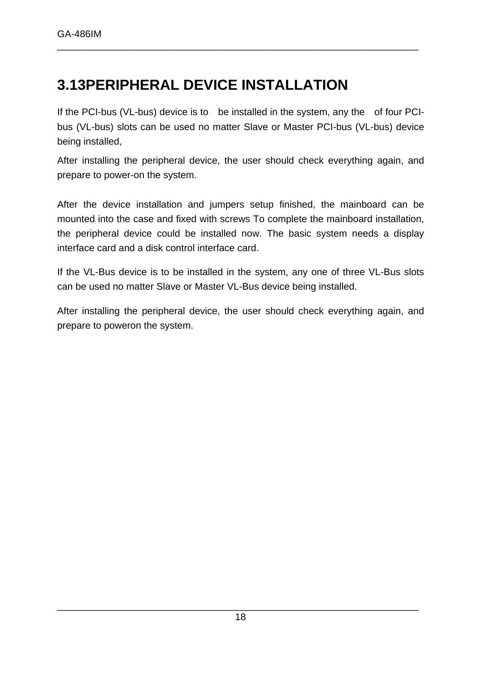## **3.13PERIPHERAL DEVICE INSTALLATION**

If the PCI-bus (VL-bus) device is to be installed in the system, any the of four PCIbus (VL-bus) slots can be used no matter Slave or Master PCI-bus (VL-bus) device being installed,

\_\_\_\_\_\_\_\_\_\_\_\_\_\_\_\_\_\_\_\_\_\_\_\_\_\_\_\_\_\_\_\_\_\_\_\_\_\_\_\_\_\_\_\_\_\_\_\_\_\_\_\_\_\_\_\_\_\_\_\_\_\_\_\_\_\_\_

After installing the peripheral device, the user should check everything again, and prepare to power-on the system.

After the device installation and jumpers setup finished, the mainboard can be mounted into the case and fixed with screws To complete the mainboard installation, the peripheral device could be installed now. The basic system needs a display interface card and a disk control interface card.

If the VL-Bus device is to be installed in the system, any one of three VL-Bus slots can be used no matter Slave or Master VL-Bus device being installed.

After installing the peripheral device, the user should check everything again, and prepare to poweron the system.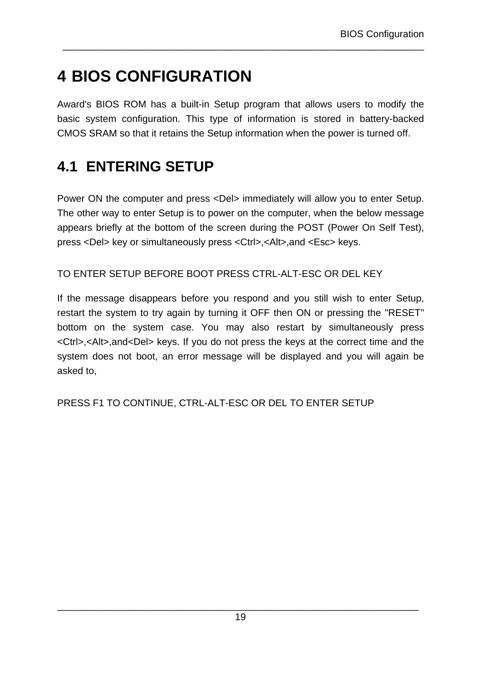# **4 BIOS CONFIGURATION**

Award's BIOS ROM has a built-in Setup program that allows users to modify the basic system configuration. This type of information is stored in battery-backed CMOS SRAM so that it retains the Setup information when the power is turned off.

\_\_\_\_\_\_\_\_\_\_\_\_\_\_\_\_\_\_\_\_\_\_\_\_\_\_\_\_\_\_\_\_\_\_\_\_\_\_\_\_\_\_\_\_\_\_\_\_\_\_\_\_\_\_\_\_\_\_\_\_\_\_\_\_\_\_\_

### **4.1 ENTERING SETUP**

Power ON the computer and press <Del> immediately will allow you to enter Setup. The other way to enter Setup is to power on the computer, when the below message appears briefly at the bottom of the screen during the POST (Power On Self Test), press <Del> key or simultaneously press <Ctrl>,<Alt>,and <Esc> keys.

TO ENTER SETUP BEFORE BOOT PRESS CTRL-ALT-ESC OR DEL KEY

If the message disappears before you respond and you still wish to enter Setup, restart the system to try again by turning it OFF then ON or pressing the "RESET" bottom on the system case. You may also restart by simultaneously press <Ctrl>,<Alt>,and<Del> keys. If you do not press the keys at the correct time and the system does not boot, an error message will be displayed and you will again be asked to,

PRESS F1 TO CONTINUE, CTRL-ALT-ESC OR DEL TO ENTER SETUP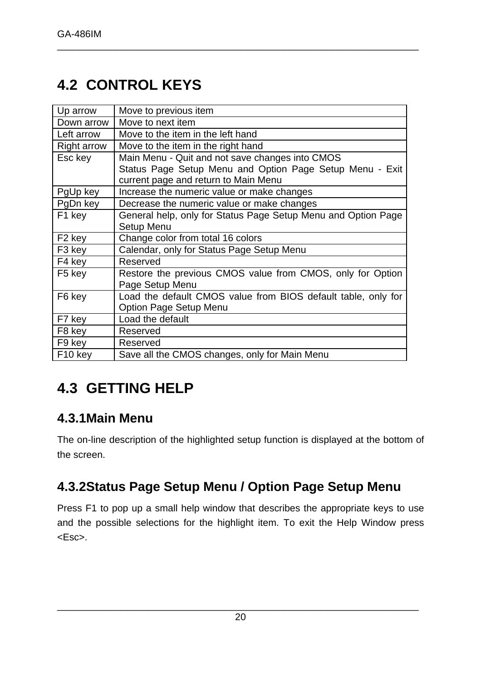## **4.2 CONTROL KEYS**

| Up arrow            | Move to previous item                                         |
|---------------------|---------------------------------------------------------------|
| Down arrow          | Move to next item                                             |
| Left arrow          | Move to the item in the left hand                             |
| <b>Right arrow</b>  | Move to the item in the right hand                            |
| Esc key             | Main Menu - Quit and not save changes into CMOS               |
|                     | Status Page Setup Menu and Option Page Setup Menu - Exit      |
|                     | current page and return to Main Menu                          |
| PgUp key            | Increase the numeric value or make changes                    |
| PgDn key            | Decrease the numeric value or make changes                    |
| F1 key              | General help, only for Status Page Setup Menu and Option Page |
|                     | Setup Menu                                                    |
| F <sub>2</sub> key  | Change color from total 16 colors                             |
| F <sub>3</sub> key  | Calendar, only for Status Page Setup Menu                     |
| F4 key              | Reserved                                                      |
| F <sub>5</sub> key  | Restore the previous CMOS value from CMOS, only for Option    |
|                     | Page Setup Menu                                               |
| F6 key              | Load the default CMOS value from BIOS default table, only for |
|                     | Option Page Setup Menu                                        |
| F7 key              | Load the default                                              |
| F <sub>8</sub> key  | Reserved                                                      |
| F9 key              | Reserved                                                      |
| F <sub>10</sub> key | Save all the CMOS changes, only for Main Menu                 |

\_\_\_\_\_\_\_\_\_\_\_\_\_\_\_\_\_\_\_\_\_\_\_\_\_\_\_\_\_\_\_\_\_\_\_\_\_\_\_\_\_\_\_\_\_\_\_\_\_\_\_\_\_\_\_\_\_\_\_\_\_\_\_\_\_\_\_

## **4.3 GETTING HELP**

### **4.3.1Main Menu**

The on-line description of the highlighted setup function is displayed at the bottom of the screen.

### **4.3.2Status Page Setup Menu / Option Page Setup Menu**

Press F1 to pop up a small help window that describes the appropriate keys to use and the possible selections for the highlight item. To exit the Help Window press <Esc>.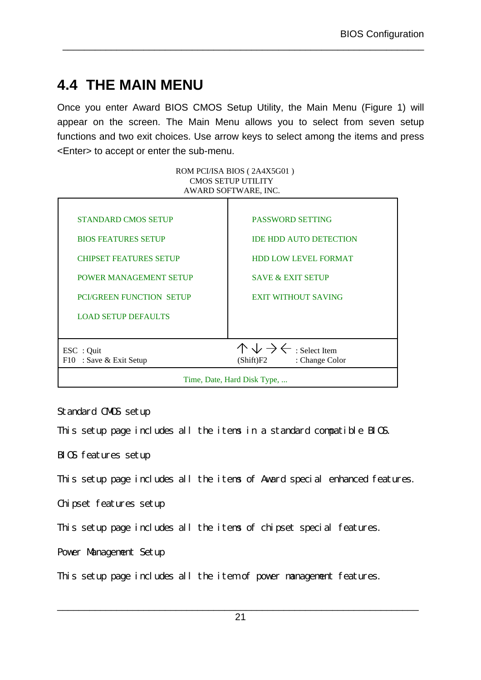## **4.4 THE MAIN MENU**

Once you enter Award BIOS CMOS Setup Utility, the Main Menu (Figure 1) will appear on the screen. The Main Menu allows you to select from seven setup functions and two exit choices. Use arrow keys to select among the items and press <Enter> to accept or enter the sub-menu.

\_\_\_\_\_\_\_\_\_\_\_\_\_\_\_\_\_\_\_\_\_\_\_\_\_\_\_\_\_\_\_\_\_\_\_\_\_\_\_\_\_\_\_\_\_\_\_\_\_\_\_\_\_\_\_\_\_\_\_\_\_\_\_\_\_\_\_

ROM PCI/ISA BIOS ( 2A4X5G01 ) CMOS SETUP UTILITY AWARD SOFTWARE, INC.

| <b>STANDARD CMOS SETUP</b>      | <b>PASSWORD SETTING</b>                            |
|---------------------------------|----------------------------------------------------|
|                                 |                                                    |
| <b>BIOS FEATURES SETUP</b>      | <b>IDE HDD AUTO DETECTION</b>                      |
|                                 |                                                    |
| <b>CHIPSET FEATURES SETUP</b>   | <b>HDD LOW LEVEL FORMAT</b>                        |
|                                 |                                                    |
| <b>POWER MANAGEMENT SETUP</b>   | <b>SAVE &amp; EXIT SETUP</b>                       |
| <b>PCI/GREEN FUNCTION SETUP</b> | <b>EXIT WITHOUT SAVING</b>                         |
|                                 |                                                    |
| <b>LOAD SETUP DEFAULTS</b>      |                                                    |
|                                 |                                                    |
|                                 |                                                    |
| ESC : Quit                      | $\wedge \vee \rightarrow \leftarrow$ : Select Item |
|                                 |                                                    |
| F10 : Save & Exit Setup         | (Shift)F2<br>: Change Color                        |
|                                 |                                                    |
|                                 | Time, Date, Hard Disk Type,                        |

Standard CMOS setup

This setup page includes all the items in a standard compatible BIOS.

BIOS features setup

This setup page includes all the items of Award special enhanced features.

Chipset features setup

This setup page includes all the items of chipset special features.

Power Management Setup

This setup page includes all the item of power management features.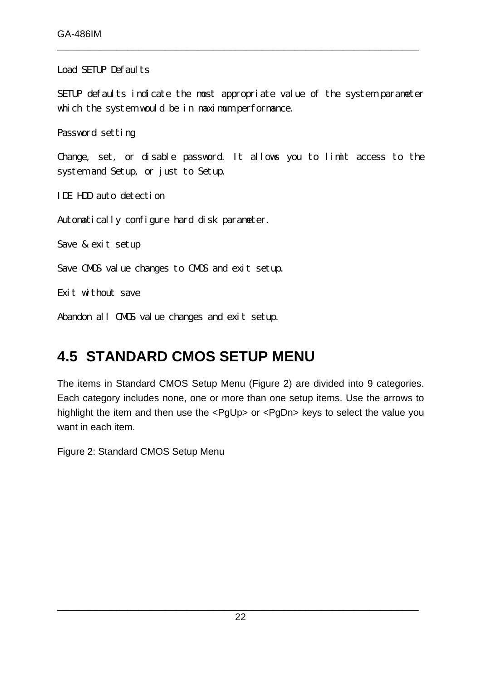Load SETUP Defaults

SETUP defaults indicate the most appropriate value of the system parameter which the system would be in maximum performance.

\_\_\_\_\_\_\_\_\_\_\_\_\_\_\_\_\_\_\_\_\_\_\_\_\_\_\_\_\_\_\_\_\_\_\_\_\_\_\_\_\_\_\_\_\_\_\_\_\_\_\_\_\_\_\_\_\_\_\_\_\_\_\_\_\_\_\_

Password setting

Change, set, or disable password. It allows you to limit access to the system and Setup, or just to Setup.

IDE HDD auto detection

Automatically configure hard disk parameter.

Save & exit setup

Save CMOS value changes to CMOS and exit setup.

Exit without save

Abandon all CMOS value changes and exit setup.

### **4.5 STANDARD CMOS SETUP MENU**

The items in Standard CMOS Setup Menu (Figure 2) are divided into 9 categories. Each category includes none, one or more than one setup items. Use the arrows to highlight the item and then use the <PgUp> or <PgDn> keys to select the value you want in each item.

Figure 2: Standard CMOS Setup Menu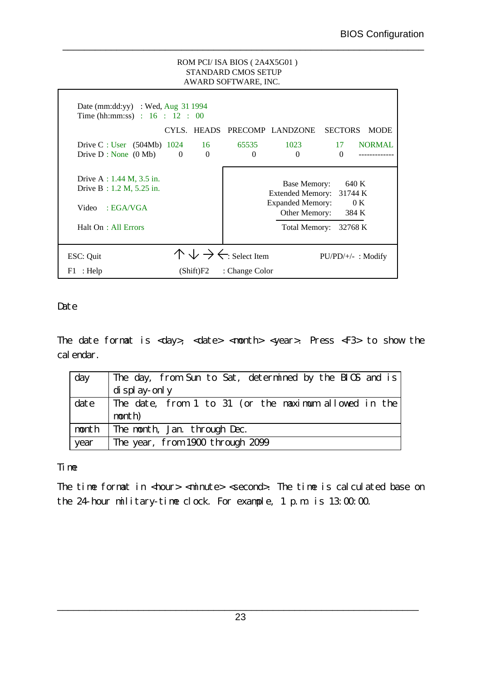#### ROM PCI/ ISA BIOS ( 2A4X5G01 ) STANDARD CMOS SETUP AWARD SOFTWARE, INC.

\_\_\_\_\_\_\_\_\_\_\_\_\_\_\_\_\_\_\_\_\_\_\_\_\_\_\_\_\_\_\_\_\_\_\_\_\_\_\_\_\_\_\_\_\_\_\_\_\_\_\_\_\_\_\_\_\_\_\_\_\_\_\_\_\_\_\_

| Date (mm:dd:yy) : Wed, Aug $31\,1994$<br>Time (hh:mm:ss) : $16$ : $12$ : 00                             |          |                      |                                                    |                                                                                                      |                                             |               |
|---------------------------------------------------------------------------------------------------------|----------|----------------------|----------------------------------------------------|------------------------------------------------------------------------------------------------------|---------------------------------------------|---------------|
|                                                                                                         |          |                      |                                                    | CYLS. HEADS PRECOMP LANDZONE                                                                         | <b>SECTORS</b>                              | <b>MODE</b>   |
| Drive C : User $(504Mb)$ 1024<br>Drive $D : None(0Mb)$                                                  | $\Omega$ | 16<br>$\overline{0}$ | 65535<br>$\Omega$                                  | 1023<br>$\Omega$                                                                                     | 17<br>$\Omega$                              | <b>NORMAL</b> |
| Drive A : $1.44$ M, $3.5$ in.<br>Drive $B : 1.2 M, 5.25 in.$<br>EGA/AGA<br>Video<br>Halt On: All Errors |          |                      |                                                    | Base Memory:<br><b>Extended Memory:</b><br><b>Expanded Memory:</b><br>Other Memory:<br>Total Memory: | 640 K<br>31744 K<br>0 K<br>384 K<br>32768 K |               |
| ESC: Quit                                                                                               |          |                      | $\wedge \vee \rightarrow \leftarrow$ : Select Item |                                                                                                      | $PU/PD/+/-$ : Modify                        |               |
| $F1$ : Help                                                                                             |          | (Shift)F2            | : Change Color                                     |                                                                                                      |                                             |               |

#### **Date**

The date format is <day>, <date> <month> <year>. Press <F3> to show the calendar.

| day  | The day, from Sun to Sat, determined by the BIOS and is    |
|------|------------------------------------------------------------|
|      | $\frac{d}{d}$ splay-only                                   |
|      | date The date, from 1 to 31 (or the maximum allowed in the |
|      | month)                                                     |
|      | month The month, Jan. through Dec.                         |
| year | The year, from 1900 through 2099                           |

#### Time

The time format in <hour> <minute> <second>. The time is calculated base on the 24-hour military-time clock. For example, 1 p.m. is 13:00:00.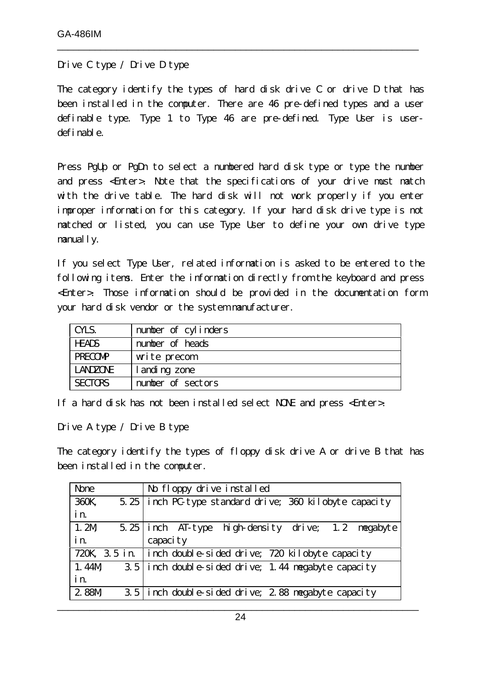Drive C type / Drive D type

The category identify the types of hard disk drive C or drive D that has been installed in the computer. There are 46 pre-defined types and a user definable type. Type 1 to Type 46 are pre-defined. Type User is userdefinable.

\_\_\_\_\_\_\_\_\_\_\_\_\_\_\_\_\_\_\_\_\_\_\_\_\_\_\_\_\_\_\_\_\_\_\_\_\_\_\_\_\_\_\_\_\_\_\_\_\_\_\_\_\_\_\_\_\_\_\_\_\_\_\_\_\_\_\_

Press PgUp or PgDn to select a numbered hard disk type or type the number and press <Enter>. Note that the specifications of your drive must match with the drive table. The hard disk will not work properly if you enter improper information for this category. If your hard disk drive type is not matched or listed, you can use Type User to define your own drive type manually.

If you select Type User, related information is asked to be entered to the following items. Enter the information directly from the keyboard and press <Enter>. Those information should be provided in the documentation form your hard disk vendor or the system manufacturer.

| CYLS.           | number of cylinders |
|-----------------|---------------------|
| <b>HEADS</b>    | number of heads     |
| <b>PRECOMP</b>  | write precom        |
| <b>LANDZONE</b> | landing zone        |
| <b>SECTORS</b>  | number of sectors   |

If a hard disk has not been installed select NONE and press <Enter>.

Drive A type / Drive B type

The category identify the types of floppy disk drive A or drive B that has been installed in the computer.

| <b>None</b>   | No floppy drive installed                                      |
|---------------|----------------------------------------------------------------|
| 360K,<br>5.25 | inch PC-type standard drive; 360 kilobyte capacity             |
| in.           |                                                                |
| 1.2M          | high-density drive; 1.2 megabyte<br>$5.25$ inch AT-type        |
| in.           | capaci ty                                                      |
|               | 720K, 3.5 in.   inch double-sided drive; 720 kilobyte capacity |
| 1.44M         | 3.5 inch double-sided drive; 1.44 megabyte capacity            |
| in.           |                                                                |
| 2.88M         | 3.5 inch double-sided drive; 2.88 megabyte capacity            |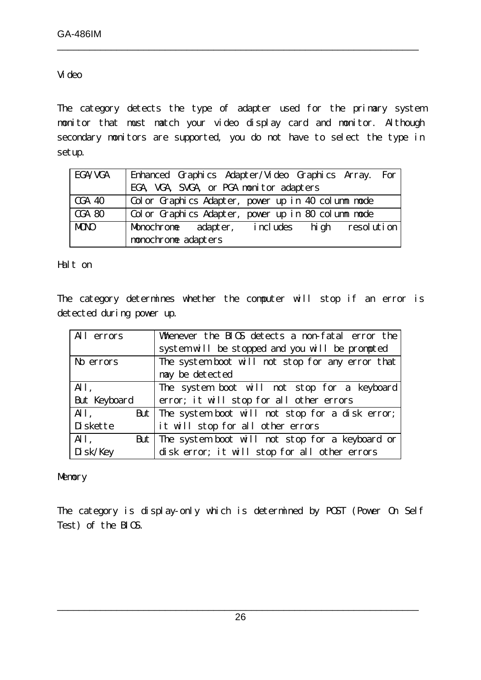#### Video

The category detects the type of adapter used for the primary system monitor that must match your video display card and monitor. Although secondary monitors are supported, you do not have to select the type in setup.

\_\_\_\_\_\_\_\_\_\_\_\_\_\_\_\_\_\_\_\_\_\_\_\_\_\_\_\_\_\_\_\_\_\_\_\_\_\_\_\_\_\_\_\_\_\_\_\_\_\_\_\_\_\_\_\_\_\_\_\_\_\_\_\_\_\_\_

| EGA/VGA       | Enhanced Graphics Adapter/Video Graphics Array. For |
|---------------|-----------------------------------------------------|
|               | EGA, VGA, SVGA, or PGA monitor adapters             |
| <b>CGA 40</b> | Color Graphics Adapter, power up in 40 column mode  |
| <b>CGA 80</b> | Color Graphics Adapter, power up in 80 column mode  |
| <b>MDNO</b>   | Monochrome adapter, includes high resolution        |
|               | monochrome adapters                                 |

Halt on

The category determines whether the computer will stop if an error is detected during power up.

| All errors          | Whenever the BIOS detects a non-fatal error the     |
|---------------------|-----------------------------------------------------|
|                     | system will be stopped and you will be prompted     |
| No errors           | The system boot will not stop for any error that    |
|                     | may be detected                                     |
| All,                | The system boot will not stop for a keyboard        |
| <b>But Keyboard</b> | error; it will stop for all other errors            |
| All,                | But The system boot will not stop for a disk error; |
| Diskette            | it will stop for all other errors                   |
| All,                | But The system boot will not stop for a keyboard or |
| Disk/Key            | disk error; it will stop for all other errors       |

#### Memory

The category is display-only which is determined by POST (Power On Self Test) of the BIOS.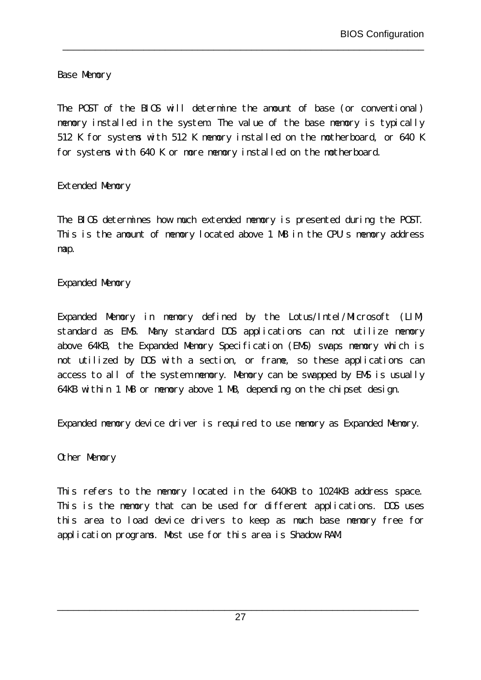Base Memory

The POST of the BIOS will determine the amount of base (or conventional) memory installed in the system. The value of the base memory is typically 512 K for systems with 512 K memory installed on the motherboard, or 640 K for systems with 640 K or more memory installed on the motherboard.

\_\_\_\_\_\_\_\_\_\_\_\_\_\_\_\_\_\_\_\_\_\_\_\_\_\_\_\_\_\_\_\_\_\_\_\_\_\_\_\_\_\_\_\_\_\_\_\_\_\_\_\_\_\_\_\_\_\_\_\_\_\_\_\_\_\_\_

#### Extended Memory

The BIOS determines how much extended memory is presented during the POST. This is the amount of memory located above 1 MB in the CPU's memory address map.

### Expanded Memory

Expanded Memory in memory defined by the Lotus/Intel/Microsoft (LIM) standard as EMS. Many standard DOS applications can not utilize memory above 64KB, the Expanded Memory Specification (EMS) swaps memory which is not utilized by DOS with a section, or frame, so these applications can access to all of the system memory. Memory can be swapped by EMS is usually 64KB within 1 MB or memory above 1 MB, depending on the chipset design.

Expanded memory device driver is required to use memory as Expanded Memory.

Other Memory

This refers to the memory located in the 640KB to 1024KB address space. This is the memory that can be used for different applications. DOS uses this area to load device drivers to keep as much base memory free for application programs. Most use for this area is Shadow RAM.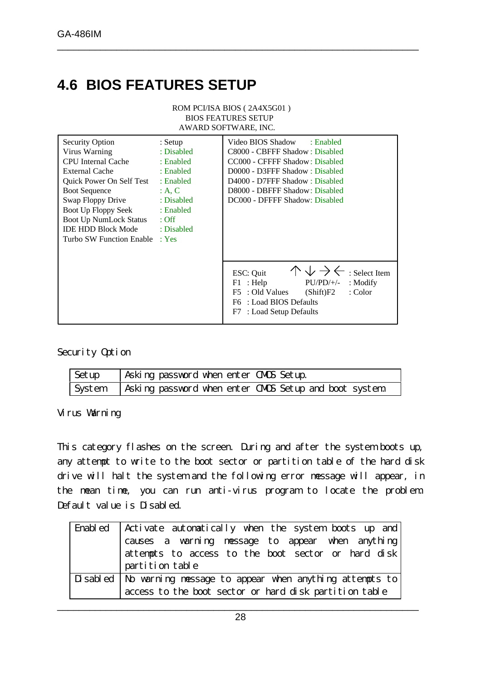## **4.6 BIOS FEATURES SETUP**

|                                                                                                                                                                                                                                                                                                        |                                                                                                    | ROM PCI/ISA BIOS (2A4X5G01)<br><b>BIOS FEATURES SETUP</b><br>AWARD SOFTWARE, INC.                                                                                                                                                          |
|--------------------------------------------------------------------------------------------------------------------------------------------------------------------------------------------------------------------------------------------------------------------------------------------------------|----------------------------------------------------------------------------------------------------|--------------------------------------------------------------------------------------------------------------------------------------------------------------------------------------------------------------------------------------------|
| <b>Security Option</b><br>Virus Warning<br><b>CPU</b> Internal Cache<br><b>External Cache</b><br>Quick Power On Self Test<br><b>Boot Sequence</b><br>Swap Floppy Drive<br>Boot Up Floppy Seek : Enabled<br>Boot Up NumLock Status : Off<br><b>IDE HDD Block Mode</b><br>Turbo SW Function Enable : Yes | $:$ Setup<br>: Disabled<br>: Enabled<br>: Enabled<br>: Enabled<br>A, C<br>: Disabled<br>: Disabled | Video BIOS Shadow<br>: Enabled<br>C8000 - CBFFF Shadow: Disabled<br>CC000 - CFFFF Shadow: Disabled<br>D0000 - D3FFF Shadow: Disabled<br>D4000 - D7FFF Shadow: Disabled<br>D8000 - DBFFF Shadow: Disabled<br>DC000 - DFFFF Shadow: Disabled |
|                                                                                                                                                                                                                                                                                                        |                                                                                                    | $\wedge \vee \rightarrow \leftarrow$ : Select Item<br>ESC: Quit<br>$PU/PD/+/-$<br>$F1$ : Help<br>$:$ Modify<br>F5 : Old Values<br>: Color<br>(Shift)F2<br>: Load BIOS Defaults<br>F6<br>: Load Setup Defaults<br>F7                        |

\_\_\_\_\_\_\_\_\_\_\_\_\_\_\_\_\_\_\_\_\_\_\_\_\_\_\_\_\_\_\_\_\_\_\_\_\_\_\_\_\_\_\_\_\_\_\_\_\_\_\_\_\_\_\_\_\_\_\_\_\_\_\_\_\_\_\_

Security Option

| Setup | Asking password when enter CMDS Setup.                         |
|-------|----------------------------------------------------------------|
|       | System   Asking password when enter CMDS Setup and boot system |

Virus Warning

This category flashes on the screen. During and after the system boots up, any attempt to write to the boot sector or partition table of the hard disk drive will halt the system and the following error message will appear, in the mean time, you can run anti-virus program to locate the problem. Default value is Disabled.

| Enabled   Activate automatically when the system boots up and     |
|-------------------------------------------------------------------|
| causes a warning message to appear when anything                  |
| attempts to access to the boot sector or hard disk                |
| partition table                                                   |
| Disabled   No warning message to appear when anything attempts to |
| access to the boot sector or hard disk partition table            |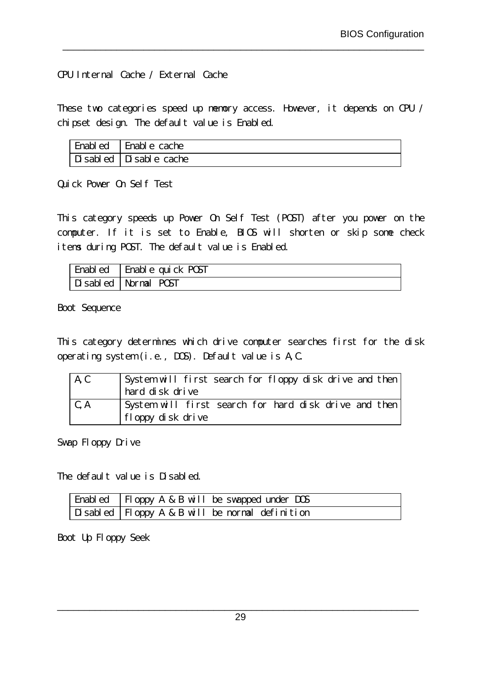CPU Internal Cache / External Cache

These two categories speed up memory access. However, it depends on CPU / chipset design. The default value is Enabled.

\_\_\_\_\_\_\_\_\_\_\_\_\_\_\_\_\_\_\_\_\_\_\_\_\_\_\_\_\_\_\_\_\_\_\_\_\_\_\_\_\_\_\_\_\_\_\_\_\_\_\_\_\_\_\_\_\_\_\_\_\_\_\_\_\_\_\_

| Enabled Enable cache   |
|------------------------|
| Disabled Disable cache |

Quick Power On Self Test

This category speeds up Power On Self Test (POST) after you power on the computer. If it is set to Enable, BIOS will shorten or skip some check items during POST. The default value is Enabled.

| Enabled Enable quick POST |
|---------------------------|
| Disabled Normal POST      |

Boot Sequence

This category determines which drive computer searches first for the disk operating system (i.e., DOS). Default value is A,C.

| A, C | System will first search for floppy disk drive and then |
|------|---------------------------------------------------------|
|      | hard disk drive                                         |
| C, A | System will first search for hard disk drive and then   |
|      | floppy disk drive                                       |

Swap Floppy Drive

The default value is Disabled.

| Enabled   Floppy A & B will be swapped under DOS  |
|---------------------------------------------------|
| Disabled   Floppy A & B will be normal definition |

Boot Up Floppy Seek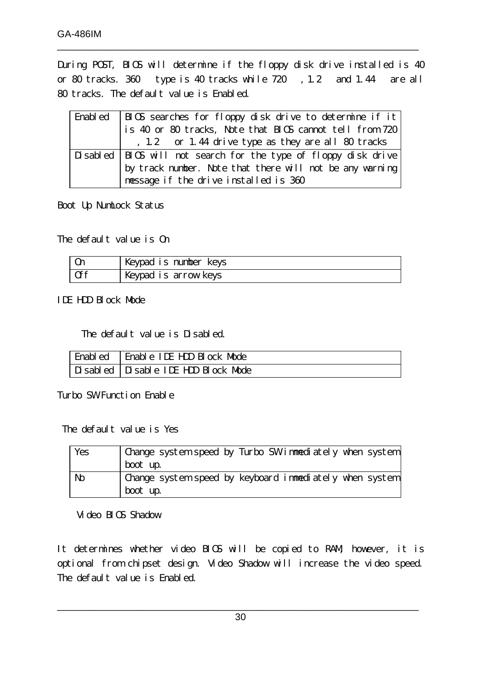During POST, BIOS will determine if the floppy disk drive installed is 40 or 80 tracks. 360 type is 40 tracks while 720 , 1.2 and 1.44 are all 80 tracks. The default value is Enabled.

\_\_\_\_\_\_\_\_\_\_\_\_\_\_\_\_\_\_\_\_\_\_\_\_\_\_\_\_\_\_\_\_\_\_\_\_\_\_\_\_\_\_\_\_\_\_\_\_\_\_\_\_\_\_\_\_\_\_\_\_\_\_\_\_\_\_\_

| Enabled   BIOS searches for floppy disk drive to determine if it             |
|------------------------------------------------------------------------------|
| $^{\dagger}$ is 40 or 80 tracks, Note that BIOS cannot tell from 720 $\vert$ |
| , 1.2 or 1.44 drive type as they are all 80 tracks                           |
| Disabled   BIOS will not search for the type of floppy disk drive            |
| by track number. Note that there will not be any warning                     |
| message if the drive installed is 360                                        |

Boot Up NumLock Status

The default value is On

| 0 <sub>n</sub> | Keypad is number keys |
|----------------|-----------------------|
| 0ff            | Keypad is arrow keys  |

IDE HDD Block Mode

The default value is Disabled.

| Enabled   Enable IDE HDD Block Mode |
|-------------------------------------|
| Disabled Disable IDE HDD Block Mode |

Turbo SW Function Enable

The default value is Yes

| Yes | Change system speed by Turbo SW immediately when system |
|-----|---------------------------------------------------------|
|     | boot up.                                                |
| No  | Change system speed by keyboard immediately when system |
|     | boot up.                                                |

Video BIOS Shadow

It determines whether video BIOS will be copied to RAM, however, it is optional from chipset design. Video Shadow will increase the video speed. The default value is Enabled.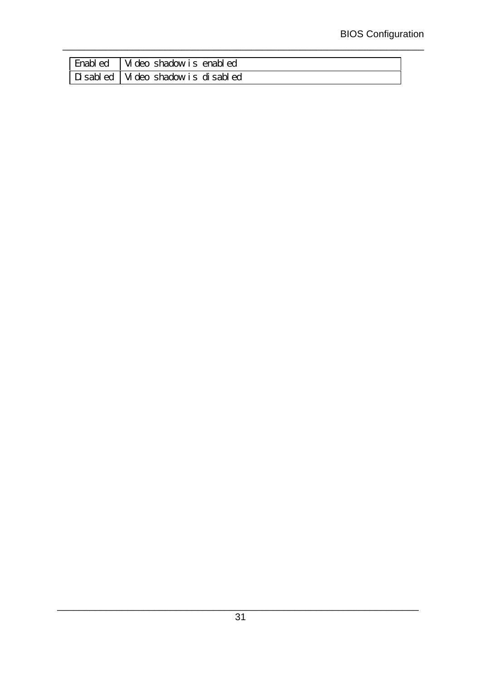| Enabled   Video shadow is enabled   |
|-------------------------------------|
| Disabled   Video shadow is disabled |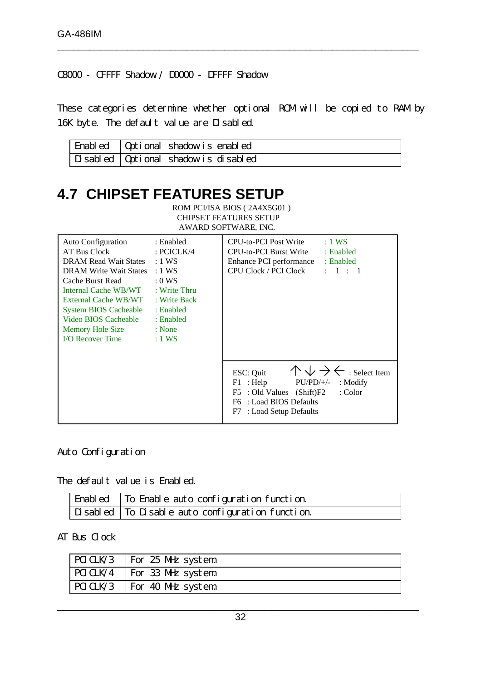C8000 - CFFFF Shadow / D0000 - DFFFF Shadow

These categories determine whether optional ROM will be copied to RAM by 16K byte. The default value are Disabled.

\_\_\_\_\_\_\_\_\_\_\_\_\_\_\_\_\_\_\_\_\_\_\_\_\_\_\_\_\_\_\_\_\_\_\_\_\_\_\_\_\_\_\_\_\_\_\_\_\_\_\_\_\_\_\_\_\_\_\_\_\_\_\_\_\_\_\_

| Enabled   Optional shadow is enabled   |
|----------------------------------------|
| Disabled   Optional shadow is disabled |

CHIPSET FEATURES SETUP

### **4.7 CHIPSET FEATURES SETUP** ROM PCI/ISA BIOS ( 2A4X5G01 )

| AWARD SOFTWARE, INC.                                                                                                                                                                                                                                                                                                   |                                                                                   |                                                                                                                                                                                                                         |  |
|------------------------------------------------------------------------------------------------------------------------------------------------------------------------------------------------------------------------------------------------------------------------------------------------------------------------|-----------------------------------------------------------------------------------|-------------------------------------------------------------------------------------------------------------------------------------------------------------------------------------------------------------------------|--|
| <b>Auto Configuration</b><br>AT Bus Clock<br>DRAM Read Wait States : 1 WS<br>DRAM Write Wait States : 1 WS<br>Cache Burst Read<br>Internal Cache WB/WT : Write Thru<br>External Cache WB/WT : Write Back<br><b>System BIOS Cacheable</b><br>Video BIOS Cacheable<br>Memory Hole Size : None<br><b>I/O Recover Time</b> | : Enabled<br>: PCICLK/4<br>$:0$ WS<br>: Enabled<br>: Enabled<br>$\therefore$ 1 WS | CPU-to-PCI Post Write<br>$:1$ WS<br>CPU-to-PCI Burst Write<br>: Enabled<br>Enhance PCI performance : Enabled<br>: 1 : 1<br>CPU Clock / PCI Clock                                                                        |  |
|                                                                                                                                                                                                                                                                                                                        |                                                                                   | $\uparrow \downarrow \rightarrow \leftarrow$ : Select Item<br>ESC: Quit<br>$F1$ : Help<br>$PU/PD/+\!/-$<br>$:$ Modify<br>: Color<br>F5 : Old Values (Shift)F2<br>F6 : Load BIOS Defaults<br>: Load Setup Defaults<br>F7 |  |

### Auto Configuration

The default value is Enabled.

| Enabled   To Enable auto configuration function.                  |
|-------------------------------------------------------------------|
| $\fbox{Disable}$ $\fbox{To Disable auto configuration function.}$ |

#### AT Bus Clock

| $\vert$ PCICLK/3 $\vert$ For 25 MHz system |
|--------------------------------------------|
| $\vert$ PCICLK/4 $\vert$ For 33 MHz system |
| $\vert$ PCICLK/3 $\vert$ For 40 MHz system |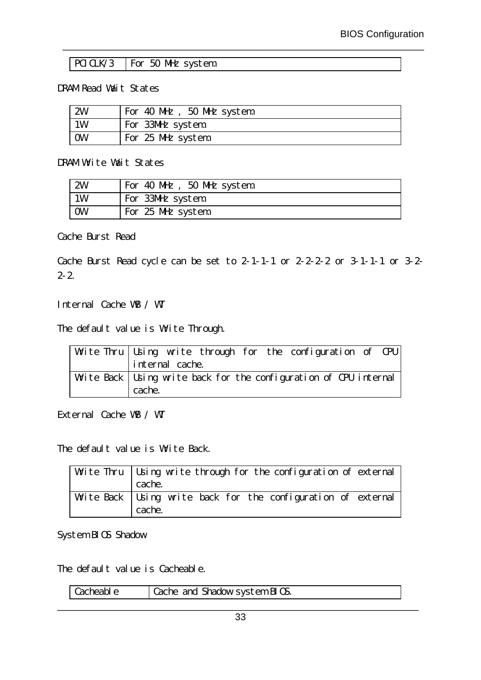| PCICLK/3 |  |  |  | For 50 MHz system |
|----------|--|--|--|-------------------|
|----------|--|--|--|-------------------|

#### DRAM Read Wait States

| 2W        | For 40 MHz, 50 MHz system |
|-----------|---------------------------|
| 1W        | For 33MHz system          |
| <b>OW</b> | For 25 MHz system         |

\_\_\_\_\_\_\_\_\_\_\_\_\_\_\_\_\_\_\_\_\_\_\_\_\_\_\_\_\_\_\_\_\_\_\_\_\_\_\_\_\_\_\_\_\_\_\_\_\_\_\_\_\_\_\_\_\_\_\_\_\_\_\_\_\_\_\_

DRAM Write Wait States

| 2W | For 40 MHz, 50 MHz system |
|----|---------------------------|
| 1W | For 33MHz system          |
| 0W | For 25 MHz system         |

Cache Burst Read

Cache Burst Read cycle can be set to 2-1-1-1 or 2-2-2-2 or 3-1-1-1 or 3-2-  $2 - 2$ .

Internal Cache WB / WT

The default value is Write Through.

| Write Thru Using write through for the configuration of CPU         |  |  |  |  |
|---------------------------------------------------------------------|--|--|--|--|
| internal cache.                                                     |  |  |  |  |
| Write Back   Using write back for the configuration of CPU internal |  |  |  |  |
| cache.                                                              |  |  |  |  |

External Cache WB / WT

The default value is Write Back.

| Write Thru   Using write through for the configuration of external<br>cache. |
|------------------------------------------------------------------------------|
| Write Back   Using write back for the configuration of external<br>cache.    |

System BIOS Shadow

The default value is Cacheable.

| Cacheable | Cache and Shadow system BIOS. |
|-----------|-------------------------------|
|           |                               |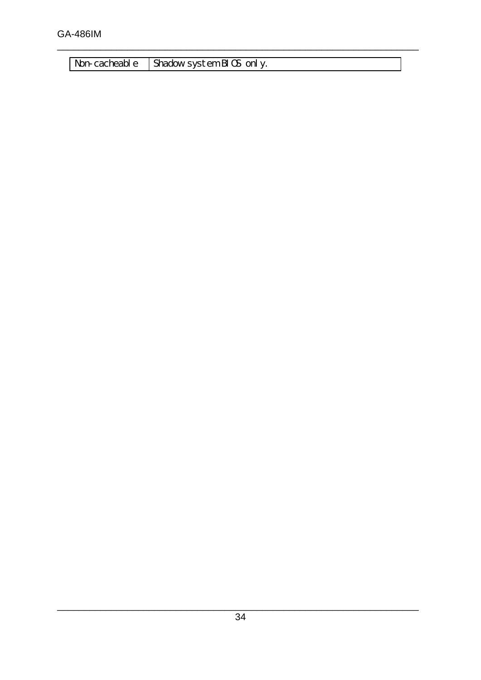Non-cacheable Shadow system BIOS only.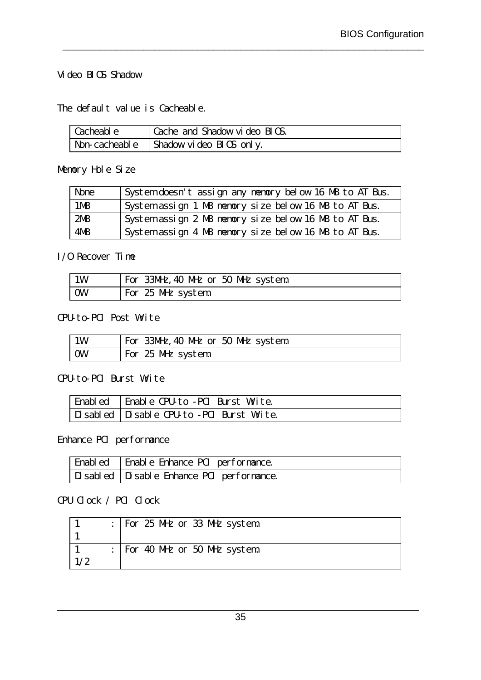#### Video BIOS Shadow

The default value is Cacheable.

| Cacheable | Cache and Shadow video BIOS.            |
|-----------|-----------------------------------------|
|           | Non-cacheable   Shadow video BIOS only. |

\_\_\_\_\_\_\_\_\_\_\_\_\_\_\_\_\_\_\_\_\_\_\_\_\_\_\_\_\_\_\_\_\_\_\_\_\_\_\_\_\_\_\_\_\_\_\_\_\_\_\_\_\_\_\_\_\_\_\_\_\_\_\_\_\_\_\_

Memory Hole Size

| None            | System doesn't assign any memory below 16 MB to AT Bus. |
|-----------------|---------------------------------------------------------|
| 1M <sub>B</sub> | System assign 1 MB memory size below 16 MB to AT Bus.   |
| 2MB             | System assign 2 MB memory size below 16 MB to AT Bus.   |
| 4MB             | System assign 4 MB memory size below 16 MB to AT Bus.   |

#### I/O Recover Time

| 1 W | For 33MHz, 40 MHz or 50 MHz system |
|-----|------------------------------------|
| 0W  | For 25 MHz system                  |

CPU-to-PCI Post Write

| 1W | For 33MHz, 40 MHz or 50 MHz system |
|----|------------------------------------|
| 0W | For 25 MHz system                  |

### CPU-to-PCI Burst Write

| Enabled   Enable CPU-to -PCI Burst Write.   |
|---------------------------------------------|
| Disabled   Disable CPU-to -PCI Burst Write. |

### Enhance PCI performance

| Enabled   Enable Enhance PCI performance. |
|-------------------------------------------|
| Disabled Disable Enhance PCI performance. |

### CPU Clock / PCI Clock

|  | For 25 MHz or 33 MHz system |
|--|-----------------------------|
|  |                             |
|  | For 40 MHz or 50 MHz system |
|  |                             |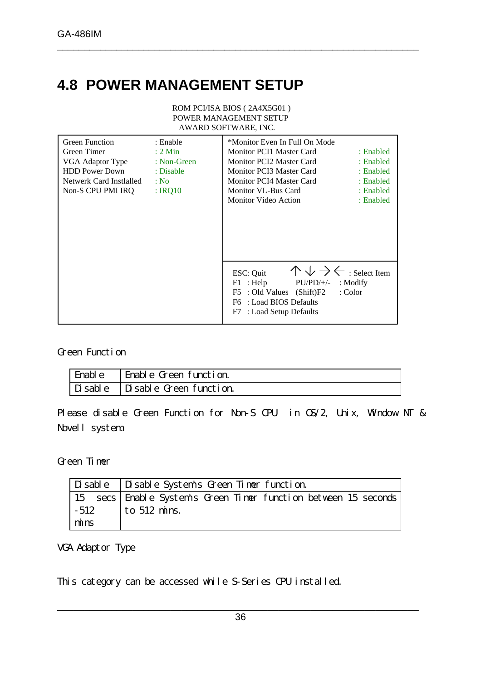## **4.8 POWER MANAGEMENT SETUP**

ROM PCI/ISA BIOS ( 2A4X5G01 ) POWER MANAGEMENT SETUP AWARD SOFTWARE, INC.

\_\_\_\_\_\_\_\_\_\_\_\_\_\_\_\_\_\_\_\_\_\_\_\_\_\_\_\_\_\_\_\_\_\_\_\_\_\_\_\_\_\_\_\_\_\_\_\_\_\_\_\_\_\_\_\_\_\_\_\_\_\_\_\_\_\_\_

| <b>Green Function</b><br>Green Timer<br>VGA Adaptor Type<br><b>HDD Power Down</b><br>Netwerk Card Instialled<br>Non-S CPU PMI IRQ | : Enable<br>$: 2$ Min<br>$: Non-Green$<br>: Disable<br>: No.<br>: IRQ10 | *Monitor Even In Full On Mode<br>Monitor PCI1 Master Card<br><b>Monitor PCI2 Master Card</b><br>Monitor PCI3 Master Card<br>Monitor PCI4 Master Card<br>Monitor VL-Bus Card<br>Monitor Video Action | : Enabled<br>: Enabled<br>: Enabled<br>: Enabled<br>: Enabled<br>: Enabled |
|-----------------------------------------------------------------------------------------------------------------------------------|-------------------------------------------------------------------------|-----------------------------------------------------------------------------------------------------------------------------------------------------------------------------------------------------|----------------------------------------------------------------------------|
|                                                                                                                                   |                                                                         | $\wedge \vee \rightarrow \leftarrow$ : Select Item<br>ESC: Quit<br>$F1$ : Help<br>$PU/PD/+/-$<br>F5 : Old Values (Shift)F2<br>: Load BIOS Defaults<br>F6<br>F7 : Load Setup Defaults                | : Modify<br>: Color                                                        |

#### Green Function

| Enable | Enable Green function.                          |
|--------|-------------------------------------------------|
|        | $\vert$ Disable $\vert$ Disable Green function. |

Please disable Green Function for Non-S CPU in OS/2, Unix, Window NT & Novell system.

Green Timer

|            | Disable Disable System's Green Timer function.                    |
|------------|-------------------------------------------------------------------|
|            | 15 secs   Enable System's Green Timer function between 15 seconds |
|            | $-512$ to 512 mins.                                               |
| $\ln$ mins |                                                                   |

VGA Adaptor Type

This category can be accessed while S-Series CPU installed.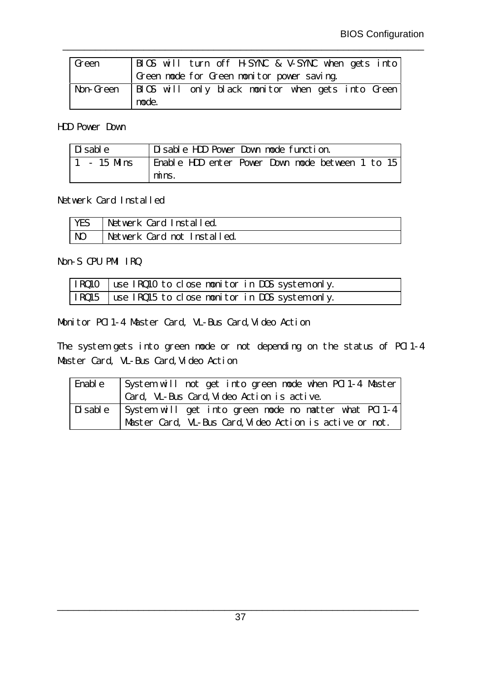| Green            |       |  |  | BIOS will turn off H-SYNC & V-SYNC when gets into |  |  |
|------------------|-------|--|--|---------------------------------------------------|--|--|
|                  |       |  |  | Green mode for Green monitor power saving.        |  |  |
| <b>Non-Green</b> |       |  |  | BIOS will only black monitor when gets into Green |  |  |
|                  | mode. |  |  |                                                   |  |  |

\_\_\_\_\_\_\_\_\_\_\_\_\_\_\_\_\_\_\_\_\_\_\_\_\_\_\_\_\_\_\_\_\_\_\_\_\_\_\_\_\_\_\_\_\_\_\_\_\_\_\_\_\_\_\_\_\_\_\_\_\_\_\_\_\_\_\_

#### HDD Power Down

| $\vert$ Disable | Disable HDD Power Down mode function.            |
|-----------------|--------------------------------------------------|
| $-15$ Mins      | Enable HDD enter Power Down mode between 1 to 15 |
|                 | mins.                                            |

#### Netwerk Card Installed

| YES | Netwerk Card Installed.     |
|-----|-----------------------------|
| NO  | Netwerk Card not Installed. |

#### Non-S CPU PMI IRQ

| IRQ10   use IRQ10 to close monitor in DOS system only. |
|--------------------------------------------------------|
| IRQ15   use IRQ15 to close monitor in DOS system only. |

Monitor PCI1-4 Master Card, VL-Bus Card,Video Action

The system gets into green mode or not depending on the status of PCI1-4 Master Card, VL-Bus Card, Video Action

| Enable | System will not get into green mode when PCI1-4 Master          |
|--------|-----------------------------------------------------------------|
|        | Card, VL-Bus Card, Video Action is active.                      |
|        | Disable   System will get into green mode no matter what PCI1-4 |
|        | Master Card, VL-Bus Card, Video Action is active or not.        |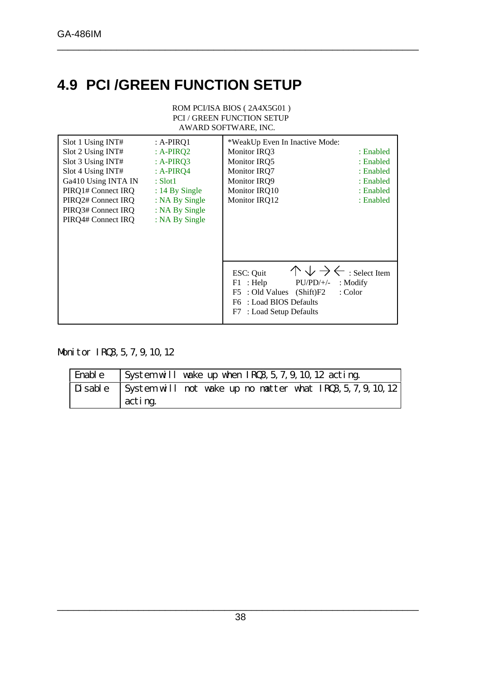## **4.9 PCI /GREEN FUNCTION SETUP**

ROM PCI/ISA BIOS ( 2A4X5G01 ) PCI / GREEN FUNCTION SETUP AWARD SOFTWARE, INC.

\_\_\_\_\_\_\_\_\_\_\_\_\_\_\_\_\_\_\_\_\_\_\_\_\_\_\_\_\_\_\_\_\_\_\_\_\_\_\_\_\_\_\_\_\_\_\_\_\_\_\_\_\_\_\_\_\_\_\_\_\_\_\_\_\_\_\_

| Slot 1 Using INT#<br>Slot 2 Using INT#<br>Slot 3 Using INT#<br>Slot 4 Using INT#<br>Ga410 Using INTA IN<br>PIRQ1# Connect IRQ<br>PIRQ2# Connect IRQ | $: A-PIRQ1$<br>: $A-PIRQ2$<br>$: A-PIRQ3$<br>$: A-PIRQ4$<br>$:$ Slot1<br>$: 14$ By Single<br>: NA By Single | *WeakUp Even In Inactive Mode:<br><b>Monitor IRQ3</b><br>Monitor IRQ5<br><b>Monitor IRO7</b><br><b>Monitor IRQ9</b><br>Monitor IRO10<br>Monitor IRQ12                             | : Enabled<br>: Enabled<br>: Enabled<br>: Enabled<br>: Enabled<br>: Enabled |
|-----------------------------------------------------------------------------------------------------------------------------------------------------|-------------------------------------------------------------------------------------------------------------|-----------------------------------------------------------------------------------------------------------------------------------------------------------------------------------|----------------------------------------------------------------------------|
| PIRQ3# Connect IRQ<br>PIRQ4# Connect IRQ                                                                                                            | : NA By Single<br>: NA By Single                                                                            |                                                                                                                                                                                   |                                                                            |
|                                                                                                                                                     |                                                                                                             | $\wedge \vee \rightarrow \leftarrow$ : Select Item<br>ESC: Quit<br>$PU/PD/+/-$<br>$F1$ : Help<br>F5 : Old Values (Shift)F2<br>F6 : Load BIOS Defaults<br>F7 : Load Setup Defaults | $:$ Modify<br>: Color                                                      |

### Monitor IRQ3, 5, 7, 9, 10, 12

| Enable | System will wake up when IRQ3, 5, 7, 9, 10, 12 acting.               |
|--------|----------------------------------------------------------------------|
|        | Disable System will not wake up no matter what IRQ3, 5, 7, 9, 10, 12 |
|        | acting.                                                              |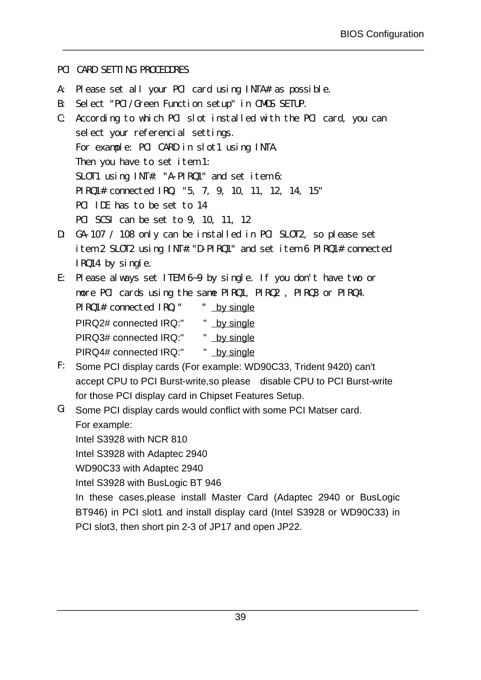#### PCI CARD SETTING PROCEDDRES

- A: Please set all your PCI card using INTA# as possible.
- $B:$ Select "PCI/Green Function setup" in CMOS SETUP.
- C: According to which PCI slot installed with the PCI card, you can select your referencial settings. For example: PCI CARD in slot1 using INTA. Then you have to set item 1: SLOT1 using INT#: "A-PIRQ1" and set item 6: PIRQ1# connected IRQ: "5, 7, 9, 10, 11, 12, 14, 15" PCI IDE has to be set to 14 PCI SCSI can be set to 9, 10, 11, 12

\_\_\_\_\_\_\_\_\_\_\_\_\_\_\_\_\_\_\_\_\_\_\_\_\_\_\_\_\_\_\_\_\_\_\_\_\_\_\_\_\_\_\_\_\_\_\_\_\_\_\_\_\_\_\_\_\_\_\_\_\_\_\_\_\_\_\_

- D: GA-107 / 108 only can be installed in PCI SLOT2, so please set item 2 SLOT2 using INT#:"D-PIRQ1" and set item 6 PIRQ1# connected IRQ14 by single.
- E: Please always set ITEM 6~9 by single. If you don't have two or more PCI cards using the same PIRQ1, PIRQ2 , PIRQ3 or PIRQ4. PIRQ1# connected IRQ:" " by single PIRQ2# connected IRQ:" " by single
	- PIRQ3# connected IRQ:" " by single
	- PIRQ4# connected IRQ:" " by single
- F: Some PCI display cards (For example: WD90C33, Trident 9420) can't accept CPU to PCI Burst-write,so please disable CPU to PCI Burst-write for those PCI display card in Chipset Features Setup.
- G: Some PCI display cards would conflict with some PCI Matser card. For example:

Intel S3928 with NCR 810

Intel S3928 with Adaptec 2940

WD90C33 with Adaptec 2940

Intel S3928 with BusLogic BT 946

In these cases,please install Master Card (Adaptec 2940 or BusLogic BT946) in PCI slot1 and install display card (Intel S3928 or WD90C33) in PCI slot3, then short pin 2-3 of JP17 and open JP22.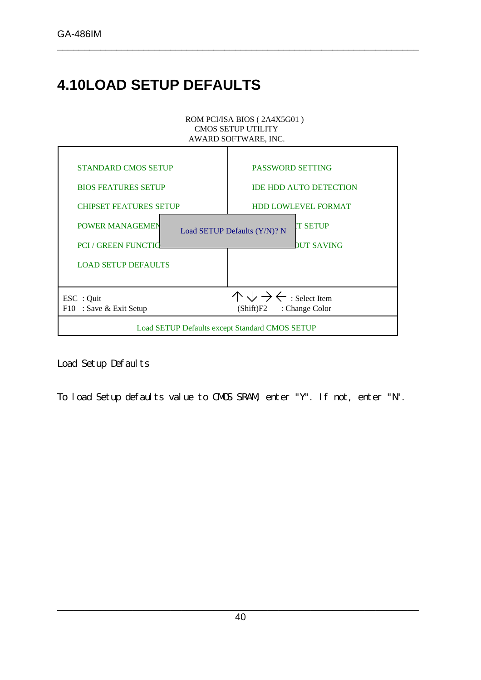## **4.10LOAD SETUP DEFAULTS**

#### ROM PCI/ISA BIOS ( 2A4X5G01 ) CMOS SETUP UTILITY AWARD SOFTWARE, INC.

\_\_\_\_\_\_\_\_\_\_\_\_\_\_\_\_\_\_\_\_\_\_\_\_\_\_\_\_\_\_\_\_\_\_\_\_\_\_\_\_\_\_\_\_\_\_\_\_\_\_\_\_\_\_\_\_\_\_\_\_\_\_\_\_\_\_\_



Load Setup Defaults

To load Setup defaults value to CMOS SRAM, enter "Y". If not, enter "N".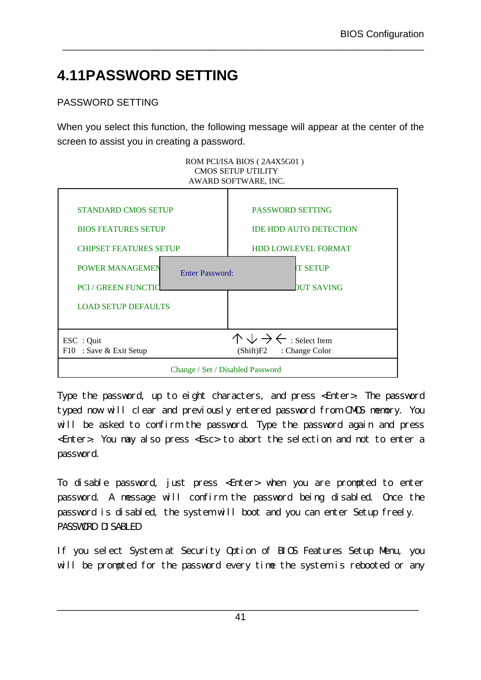## **4.11PASSWORD SETTING**

### PASSWORD SETTING

When you select this function, the following message will appear at the center of the screen to assist you in creating a password.

\_\_\_\_\_\_\_\_\_\_\_\_\_\_\_\_\_\_\_\_\_\_\_\_\_\_\_\_\_\_\_\_\_\_\_\_\_\_\_\_\_\_\_\_\_\_\_\_\_\_\_\_\_\_\_\_\_\_\_\_\_\_\_\_\_\_\_



Type the password, up to eight characters, and press <Enter>. The password typed now will clear and previously entered password from CMOS memory. You will be asked to confirm the password. Type the password again and press <Enter>. You may also press <Esc> to abort the selection and not to enter a password.

To disable password, just press <Enter> when you are prompted to enter password. A message will confirm the password being disabled. Once the password is disabled, the system will boot and you can enter Setup freely. PASSWORD DISABLED

If you select System at Security Option of BIOS Features Setup Menu, you will be prompted for the password every time the system is rebooted or any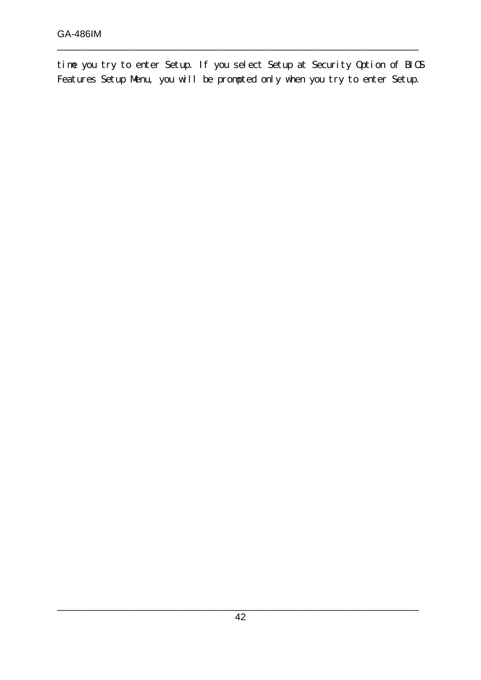time you try to enter Setup. If you select Setup at Security Option of BIOS Features Setup Menu, you will be prompted only when you try to enter Setup.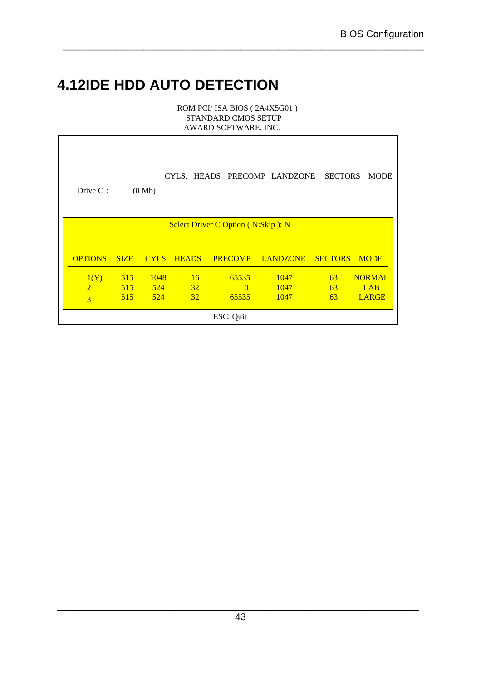## **4.12IDE HDD AUTO DETECTION**

 $\mathsf{l}$ 

ROM PCI/ ISA BIOS ( 2A4X5G01 ) STANDARD CMOS SETUP AWARD SOFTWARE, INC.

| Drive C:       |             | (0 Mb) |             |    |                                           | CYLS. HEADS PRECOMP LANDZONE | <b>SECTORS</b> | <b>MODE</b>   |
|----------------|-------------|--------|-------------|----|-------------------------------------------|------------------------------|----------------|---------------|
|                |             |        |             |    | <b>Select Driver C Option (N:Skip): N</b> |                              |                |               |
|                |             |        |             |    |                                           |                              |                |               |
| <b>OPTIONS</b> | <b>SIZE</b> |        | CYLS. HEADS |    | <b>PRECOMP</b>                            | <b>LANDZONE</b>              | <b>SECTORS</b> | <b>MODE</b>   |
| 1(Y)           | 515         | 1048   |             | 16 | 65535                                     | 1047                         | 63             | <b>NORMAL</b> |
| $\overline{2}$ | 515         | $-524$ | $\sim$ 32   |    | $\Omega$                                  | 1047                         | 63             | <b>LAB</b>    |
| 3              | 515         | $-524$ |             | 32 | 65535                                     | 1047                         | 63             | <b>LARGE</b>  |
|                |             |        |             |    | ESC: Quit                                 |                              |                |               |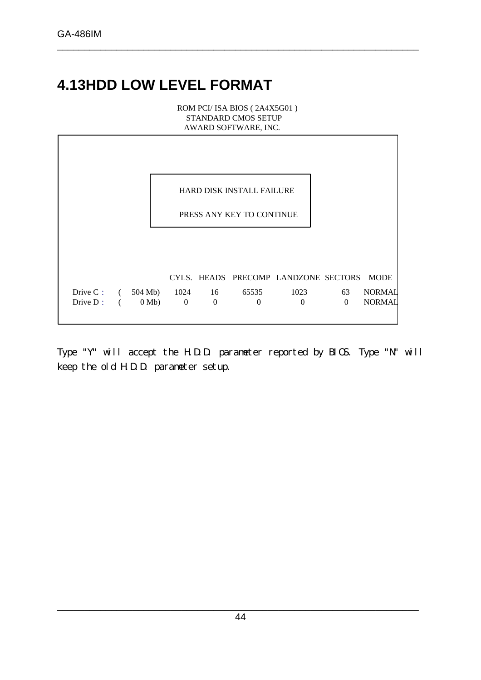## **4.13HDD LOW LEVEL FORMAT**

ROM PCI/ ISA BIOS ( 2A4X5G01 ) STANDARD CMOS SETUP AWARD SOFTWARE, INC.

\_\_\_\_\_\_\_\_\_\_\_\_\_\_\_\_\_\_\_\_\_\_\_\_\_\_\_\_\_\_\_\_\_\_\_\_\_\_\_\_\_\_\_\_\_\_\_\_\_\_\_\_\_\_\_\_\_\_\_\_\_\_\_\_\_\_\_

|                                         |                |       |              |                     | <b>HARD DISK INSTALL FAILURE</b> |                                      |                |                                |
|-----------------------------------------|----------------|-------|--------------|---------------------|----------------------------------|--------------------------------------|----------------|--------------------------------|
|                                         |                |       |              |                     | PRESS ANY KEY TO CONTINUE        |                                      |                |                                |
|                                         |                |       |              |                     |                                  |                                      |                |                                |
|                                         |                |       |              |                     |                                  | CYLS. HEADS PRECOMP LANDZONE SECTORS |                | <b>MODE</b>                    |
| Drive C: $(504 \text{ Mb})$<br>Drive D: | $\overline{a}$ | 0 Mb) | $\mathbf{0}$ | 1024 16<br>$\theta$ | 65535<br>$\Omega$                | 1023<br>$\Omega$                     | 63<br>$\Omega$ | <b>NORMAL</b><br><b>NORMAL</b> |
|                                         |                |       |              |                     |                                  |                                      |                |                                |

Type "Y" will accept the H.D.D. parameter reported by BIOS. Type "N" will keep the old H.D.D. parameter setup.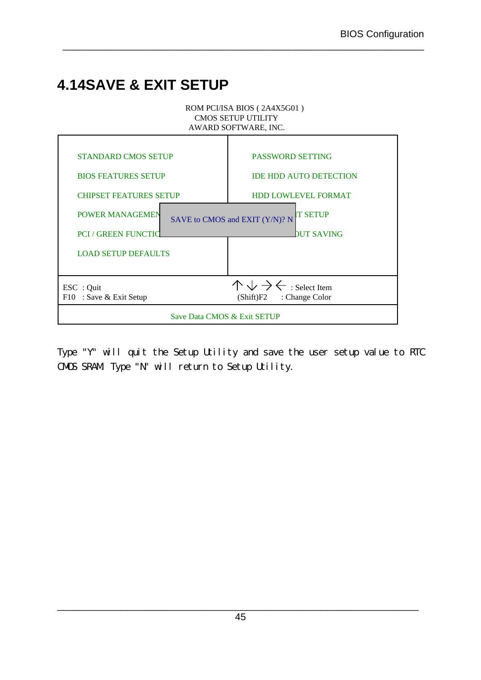## **4.14SAVE & EXIT SETUP**



\_\_\_\_\_\_\_\_\_\_\_\_\_\_\_\_\_\_\_\_\_\_\_\_\_\_\_\_\_\_\_\_\_\_\_\_\_\_\_\_\_\_\_\_\_\_\_\_\_\_\_\_\_\_\_\_\_\_\_\_\_\_\_\_\_\_\_

Type "Y" will quit the Setup Utility and save the user setup value to RTC CMOS SRAM. Type "N" will return to Setup Utility.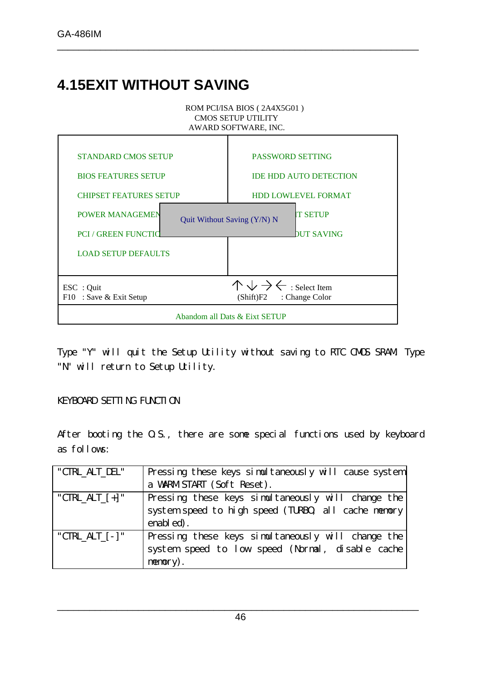## **4.15EXIT WITHOUT SAVING**



\_\_\_\_\_\_\_\_\_\_\_\_\_\_\_\_\_\_\_\_\_\_\_\_\_\_\_\_\_\_\_\_\_\_\_\_\_\_\_\_\_\_\_\_\_\_\_\_\_\_\_\_\_\_\_\_\_\_\_\_\_\_\_\_\_\_\_

Type "Y" will quit the Setup Utility without saving to RTC CMOS SRAM. Type "N" will return to Setup Utility.

#### KEYBOARD SETTING FUNCTION

After booting the O.S., there are some special functions used by keyboard as follows:

| "CTRL_ALT_DEL"    | Pressing these keys simultaneously will cause system |
|-------------------|------------------------------------------------------|
|                   | a WARM START (Soft Reset).                           |
| "CTRL ALT $[+]$ " | Pressing these keys simultaneously will change the   |
|                   | system speed to high speed (TURBO, all cache memory  |
|                   | enabled).                                            |
| "CTRL ALT $[-]$ " | Pressing these keys simultaneously will change the   |
|                   | system speed to low speed (Normal, disable cache     |
|                   | memory).                                             |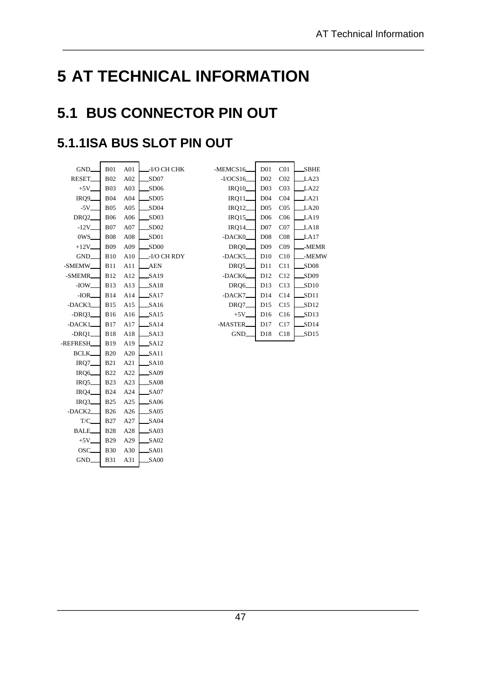# **5 AT TECHNICAL INFORMATION**

\_\_\_\_\_\_\_\_\_\_\_\_\_\_\_\_\_\_\_\_\_\_\_\_\_\_\_\_\_\_\_\_\_\_\_\_\_\_\_\_\_\_\_\_\_\_\_\_\_\_\_\_\_\_\_\_\_\_\_\_\_\_\_\_\_\_\_

## **5.1 BUS CONNECTOR PIN OUT**

### **5.1.1ISA BUS SLOT PIN OUT**

| GND.                | <b>B01</b>  | A <sub>01</sub> | -I/O CH CHK      |
|---------------------|-------------|-----------------|------------------|
| RESET.              | <b>B02</b>  | A02             | SD07             |
| $+5V_{-}$           | B03         | A <sub>03</sub> | SD06             |
| IRQ9_               | B04         | A04             | SD05             |
| $-5V$ <sub>-</sub>  | <b>B05</b>  | A05             | SD <sub>04</sub> |
| DRQ <sub>2</sub>    | <b>B06</b>  | A06             | SD03             |
| $-12V$ <sub>-</sub> | <b>B07</b>  | A07             | SD02             |
| 0WS.                | <b>B08</b>  | A08             | SD01             |
| $+12V$              | <b>B09</b>  | A09             | SD00             |
| GND_                | B10         | A10             | -I/O CH RDY      |
| -SMEMW_             | B11         | A11             | <b>AEN</b>       |
| -SMEMR              | <b>B12</b>  | A12             | SA19             |
| -IOW_               | <b>B</b> 13 | A13             | SA18             |
| -IOR_               | B14         | A14             | SA17             |
| -DACK3              | <b>B15</b>  | A15             | SA16             |
| $-DRO3$             | B16         | A16             | SA15             |
| $-$ DACK1 $-$       | <b>B17</b>  | A17             | SA14             |
| $-DRO1$             | <b>B18</b>  | A18             | SA13             |
| -REFRESH            | <b>B</b> 19 | A19             | SA12             |
| BCLK                | <b>B20</b>  | A20             | SA11             |
| $IRQ7$ <sub>-</sub> | <b>B21</b>  | A21             | S <sub>A10</sub> |
| IRQ <sub>6</sub>    | <b>B22</b>  | A22             | SA09             |
| IRQ5                | <b>B23</b>  | A23             | SA08             |
| IRQ4                | <b>B24</b>  | A24             | SA07             |
| IRQ3_               | <b>B25</b>  | A25             | SA06             |
| -DACK2              | <b>B26</b>  | A26             | SA05             |
| T/C                 | <b>B27</b>  | A27             | <b>SA04</b>      |
| <b>BALE</b>         | <b>B28</b>  | A28             | SA03             |
| $+5V$ <sub>-</sub>  | <b>B29</b>  | A29             | SA02             |
| OSC.                | B30         | A30             | SA01             |
| GND_                | <b>B31</b>  | A31             | $\_SA00$         |
|                     |             |                 |                  |

| łΚ | -MEMCS16         | D <sub>01</sub>  | CO <sub>1</sub> | SBHE             |
|----|------------------|------------------|-----------------|------------------|
|    | $-I/OCS16$       | D <sub>02</sub>  | CO <sub>2</sub> | LA23             |
|    | <b>IRQ10_</b>    | D <sub>03</sub>  | CO <sub>3</sub> | LA <sub>22</sub> |
|    | IRQ11            | D <sub>04</sub>  | CO <sub>4</sub> | LA21             |
|    | <b>IRQ12_</b>    | D <sub>05</sub>  | CO <sub>5</sub> | LA20             |
|    | IRQ15_           | D <sub>06</sub>  | C <sub>06</sub> | LA19             |
|    | <b>IRQ14</b>     | D <sub>0</sub> 7 | CO7             | LA18             |
|    | -DACK0           | D <sub>08</sub>  | CO8             | LA17             |
|    | DRQ <sub>0</sub> | D <sub>09</sub>  | CO9             | -MEMR            |
| )Υ | -DACK5           | D10              | C10             | -MEMW            |
|    | DRQ5             | D11              | C11             | SD <sub>08</sub> |
|    | -DACK6           | D <sub>12</sub>  | C12             | SD <sub>09</sub> |
|    | DRQ6             | D13              | C13             | SD10             |
|    | -DACK7           | D14              | C14             | SD11             |
|    | DRQ7_            | D15              | C15             | SD12             |
|    | $+5V$            | D <sub>16</sub>  | C16             | SD13             |
|    | -MASTER          | D17              | C17             | SD14             |
|    | GND.             | D18              | C18             | SD15             |
|    |                  |                  |                 |                  |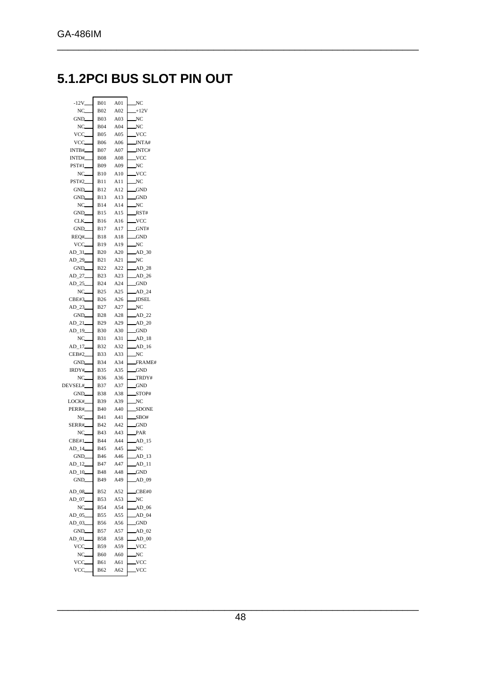### **5.1.2PCI BUS SLOT PIN OUT**

| $-12V$ <sub>-</sub> | <b>B01</b>               | A01        | $\mathbb{N}C$      |
|---------------------|--------------------------|------------|--------------------|
| NC                  | <b>B02</b>               | A02        | $+12V$             |
| GND_                | <b>B03</b>               | A03        | NC                 |
| NC                  | <b>B04</b>               | A04        | NC                 |
| VCC                 | <b>B05</b>               | A05        | VCC.               |
| VCC                 | <b>B06</b>               | A06        | INTA#              |
| INTB#               | <b>B07</b>               | A07        | INTC#              |
| INTD#               | <b>B08</b>               | A08        | VCC.               |
| <b>PST#1</b>        | <b>B09</b>               | A09        | NC                 |
| NC.                 | <b>B10</b>               | A10        | VCC.               |
| <b>PST#2</b>        | B11                      | A11        | NC                 |
| GND_                | <b>B12</b>               | A12        | <b>GND</b>         |
| GND<br>NC           | B13<br><b>B14</b>        | A13<br>A14 | <b>GND</b>         |
| GND_                |                          |            | NC                 |
|                     | <b>B15</b>               | A15        | RST#<br><b>VCC</b> |
| CLK.<br>GND_        | <b>B16</b><br><b>B17</b> | A16<br>A17 | GNT#               |
| REO#                | <b>B18</b>               | A18        | <b>GND</b>         |
| VCC_                | B19                      | A19        | NC                 |
| AD 31               | <b>B20</b>               | A20        | $AD$ 30            |
| AD_29_              | <b>B21</b>               | A21        | NC                 |
| GND_                | <b>B22</b>               | A22        | AD28               |
| AD_27               | <b>B23</b>               | A23        | AD26               |
| AD 25               | <b>B24</b>               | A24        | <b>GND</b>         |
| $NC_{-}$            | <b>B25</b>               | A25        | $AD_24$            |
| CBE#3               | <b>B26</b>               | A26        | <b>IDSEL</b>       |
| AD 23               | <b>B27</b>               | A27        | NC                 |
| GND_                | <b>B28</b>               | A28        | $AD$ 22            |
| $AD_21$             | <b>B29</b>               | A29        | $AD_20$            |
| AD_19               | <b>B30</b>               | A30        | <b>GND</b>         |
| NC                  | <b>B31</b>               | A31        | $AD_18$            |
| AD 17_              | <b>B32</b>               | A32        | $AD$ 16            |
| CEB#2               | <b>B33</b>               | A33        | NC                 |
| GND_                | <b>B34</b>               | A34        | FRAME#             |
| IRDY#               | <b>B35</b>               | A35        | <b>GND</b>         |
| NC                  | <b>B36</b>               | A36        | TRDY#              |
| DEVSEL#             | <b>B37</b>               | A37        | <b>GND</b>         |
| GND_                | <b>B38</b>               | A38        | STOP#              |
| LOCK#               | <b>B39</b>               | A39        | NC                 |
| PERR#               | <b>B40</b>               | A40        | SDONE              |
| NC                  | <b>B41</b>               | A41        | SBO#               |
| SERR#               | B42                      | A42        | $-GND$             |
| NC_                 | B43                      | A43        | PAR                |
| CBE#1               | <b>B44</b>               | A44        | $AD_15$            |
| $AD_14$             | <b>B45</b>               | A45        | NC                 |
| GND                 | <b>B</b> 46              | A46        | $AD_13$            |
| $AD_12$             | B47                      | A47        | $AD_11$            |
| $AD_10$             | <b>B48</b>               | A48        | <b>GND</b>         |
| GND.                | B49                      | A49        | $AD_09$            |
| $AD_08$             | <b>B52</b>               | A52        | CBE#0              |
| $AD_07$             | <b>B53</b>               | A53        | NC                 |
| $NC_{-}$            | <b>B54</b>               | A54        | $AD$ 06            |
| AD 05               | <b>B55</b>               | A55        | $AD_04$            |
| AD_03_              | <b>B56</b>               | A56        | <b>GND</b>         |
| GND                 | <b>B57</b>               | A57        | $AD_02$            |
| AD 01               | <b>B58</b>               | A58        | $AD$ 00            |
| VCC                 | <b>B59</b>               | A59        | VCC.               |
| NC                  | B60                      | A60        | NC.                |
| VCC                 | B61                      | A61        | VCC                |
| VCC                 | B62                      | A62        | VCC.               |
|                     |                          |            |                    |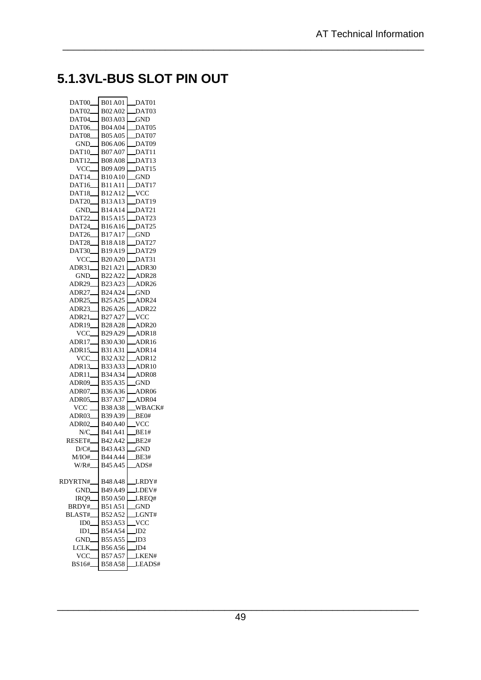### **5.1.3VL-BUS SLOT PIN OUT**

| DAT <sub>00</sub>  | <b>B01A01</b>                   | DAT01             |
|--------------------|---------------------------------|-------------------|
| DAT <sub>02</sub>  | B02A02                          | DAT03             |
| DAT <sub>04</sub>  | <b>B03A03</b>                   | GND.              |
| <b>DAT06</b>       | <b>B04A04</b>                   | DAT05             |
| DAT08              | <b>B05A05</b>                   | DAT07             |
| GND.               | <b>B06A06</b>                   | DAT09             |
| DAT <sub>10</sub>  | <b>B07A07</b>                   | DAT11             |
| DAT <sub>12</sub>  | <b>B08A08</b>                   | DAT <sub>13</sub> |
| VCC.               | <b>B09A09</b>                   | DAT <sub>15</sub> |
| $DATA_$            | <b>B10A10</b>                   | <b>GND</b>        |
| DAT <sub>16</sub>  | <b>B11A11</b>                   | DAT17             |
| DAT18_             | B12A12                          | <b>VCC</b>        |
| <b>DAT20</b>       | B13A13                          | DAT19             |
| GND_               | B14A14                          | DAT21             |
| DAT22              | B15A15                          | DAT23             |
| DAT24              | <b>B16A16</b>                   | DAT25             |
| DAT26              | B17A17                          | GND.              |
| DAT28              | <b>B18A18</b>                   | DAT27             |
|                    | B19A19                          | DAT29             |
| DAT30              |                                 |                   |
| VCC_               | <b>B20A20</b>                   | DAT31             |
| ADR31_             | B21A21                          | ADR30             |
| GND.               | B22A22                          | ADR28             |
| ADR29              | B <sub>23</sub> A <sub>23</sub> | ADR26             |
| ADR27_             | B24A24                          | GND               |
| ADR25              | B <sub>25</sub> A <sub>25</sub> | ADR24             |
| ADR23_             | B <sub>26</sub> A <sub>26</sub> | ADR22             |
| ADR21 <sub>-</sub> | B27A27                          | $\mathsf{VCC}$    |
| ADR19              | <b>B28A28</b>                   | ADR20             |
| VCC_               | B <sub>29</sub> A <sub>29</sub> | ADR18             |
| ADR17_             | <b>B30A30</b>                   | _ADR16            |
| <b>ADR15</b>       | B31A31                          | ADR14             |
| VCC.               | B32A32                          | ADR12             |
| ADR13_             | B33A33                          | ADR10             |
| ADR11_             | B34A34                          | ADR08             |
| ADR09              | B35A35                          | <b>GND</b>        |
| ADR07              | B36A36                          | ADR <sub>06</sub> |
| ADR05              | B37A37                          | ADR04             |
| VCC <sub>-</sub>   | <b>B38A38</b>                   | WBACK#            |
| ADR03              | B39A39                          | BE0#              |
| ADR02_             | <b>B40A40</b>                   | $\_VCC$           |
| N/C.               | B41A41                          | BE1#              |
| RESET#             | B42A42                          | BE2#              |
| D/C#               | B43A43                          | <b>GND</b>        |
| M/IO#_             | B44 A44                         | BE3#              |
| W/R#_              | B <sub>45</sub> A <sub>45</sub> | _ADS#             |
|                    |                                 |                   |
| RDYRTN#_           | B48A48                          | LRDY#             |
| GND_               | B49A49                          | LDEV#             |
| IRQ9               | <b>B50A50</b>                   | LREO#             |
| BRDY# <b>_</b>     | <b>B51A51</b>                   | GND.              |
| BLAST#             | B52A52                          | LGNT#             |
| ID0                | B53A53                          | VCC               |
| ID1                | <b>B54A54</b>                   | ID2               |
| GND.               | B55A55                          | ID3               |
| LCLK.              | B56A56                          | ID4               |
| VCC.               | B57A57                          | LKEN#             |
|                    |                                 |                   |
| BS16#              | <b>B58A58</b>                   | LEADS#            |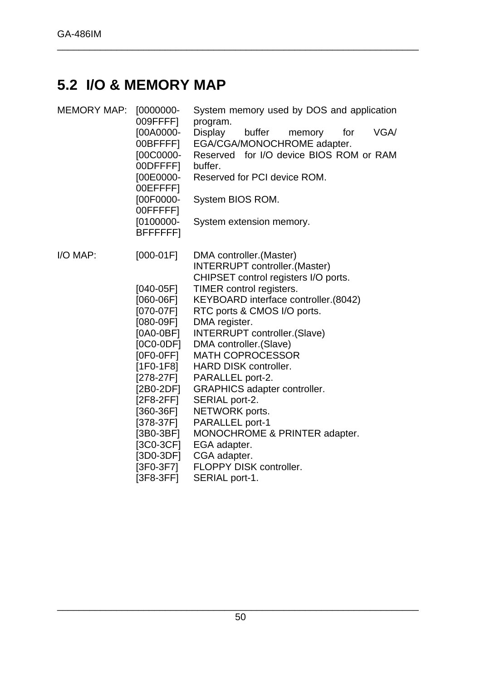### **5.2 I/O & MEMORY MAP**

| <b>MEMORY MAP:</b> | $[0000000-$<br>009FFFF]    | System memory used by DOS and application<br>program.               |
|--------------------|----------------------------|---------------------------------------------------------------------|
|                    | [00A0000-                  | <b>Display</b><br>VGA/<br>buffer<br>memory<br>for                   |
|                    | 00BFFFF]                   | EGA/CGA/MONOCHROME adapter.                                         |
|                    | [00C0000-<br>00DFFFF]      | Reserved for I/O device BIOS ROM or RAM<br>buffer.                  |
|                    | [00E0000-                  | Reserved for PCI device ROM.                                        |
|                    | 00EFFFF]                   |                                                                     |
|                    | [00F0000-                  | System BIOS ROM.                                                    |
|                    | 00FFFFF]                   |                                                                     |
|                    | $[0100000 -$               | System extension memory.                                            |
|                    | <b>BFFFFFFFI</b>           |                                                                     |
|                    |                            |                                                                     |
| I/O MAP:           | $[000-01F]$                | DMA controller. (Master)                                            |
|                    |                            | <b>INTERRUPT</b> controller.(Master)                                |
|                    |                            | CHIPSET control registers I/O ports.                                |
|                    | $[040-05F]$                | TIMER control registers.                                            |
|                    | $[060-06F]$<br>$[070-07F]$ | KEYBOARD interface controller.(8042)<br>RTC ports & CMOS I/O ports. |
|                    | $[080-09F]$                | DMA register.                                                       |
|                    | $[0A0-0BF]$                | <b>INTERRUPT</b> controller.(Slave)                                 |
|                    | $[0C0-0DF]$                | DMA controller. (Slave)                                             |
|                    | $[0F0-0FF]$                | <b>MATH COPROCESSOR</b>                                             |
|                    | $[1F0-1F8]$                | <b>HARD DISK controller.</b>                                        |
|                    | [278-27F]                  | PARALLEL port-2.                                                    |
|                    | [2B0-2DF]                  | <b>GRAPHICS adapter controller.</b>                                 |
|                    | $[2F8-2FF]$                | SERIAL port-2.                                                      |
|                    | $[360-36F]$                | NETWORK ports.                                                      |
|                    | [378-37F]                  | PARALLEL port-1                                                     |
|                    | $[3B0-3BF]$                | MONOCHROME & PRINTER adapter.                                       |
|                    | [3C0-3CF]                  | EGA adapter.                                                        |
|                    | $[3D0-3DF]$                | CGA adapter.                                                        |
|                    | [3F0-3F7]<br>$[3F8-3FF]$   | FLOPPY DISK controller.<br>SERIAL port-1.                           |
|                    |                            |                                                                     |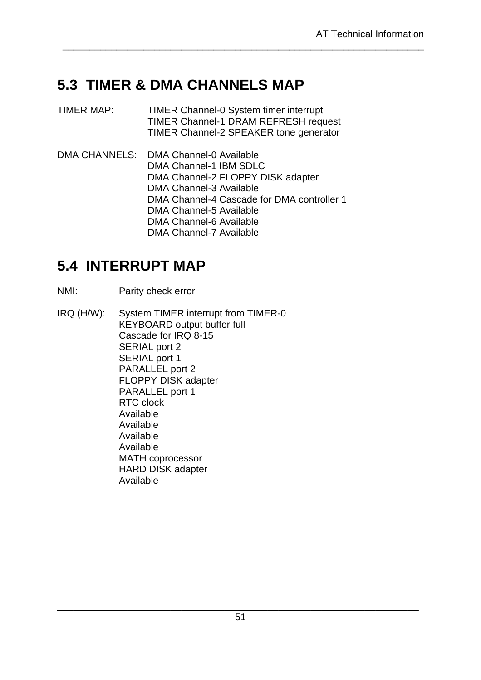### **5.3 TIMER & DMA CHANNELS MAP**

TIMER MAP: TIMER Channel-0 System timer interrupt TIMER Channel-1 DRAM REFRESH request TIMER Channel-2 SPEAKER tone generator

\_\_\_\_\_\_\_\_\_\_\_\_\_\_\_\_\_\_\_\_\_\_\_\_\_\_\_\_\_\_\_\_\_\_\_\_\_\_\_\_\_\_\_\_\_\_\_\_\_\_\_\_\_\_\_\_\_\_\_\_\_\_\_\_\_\_\_

DMA CHANNELS: DMA Channel-0 Available DMA Channel-1 IBM SDLC DMA Channel-2 FLOPPY DISK adapter DMA Channel-3 Available DMA Channel-4 Cascade for DMA controller 1 DMA Channel-5 Available DMA Channel-6 Available DMA Channel-7 Available

### **5.4 INTERRUPT MAP**

- NMI: Parity check error
- IRQ (H/W): System TIMER interrupt from TIMER-0 KEYBOARD output buffer full Cascade for IRQ 8-15 SERIAL port 2 SERIAL port 1 PARALLEL port 2 FLOPPY DISK adapter PARALLEL port 1 RTC clock Available Available Available Available MATH coprocessor HARD DISK adapter Available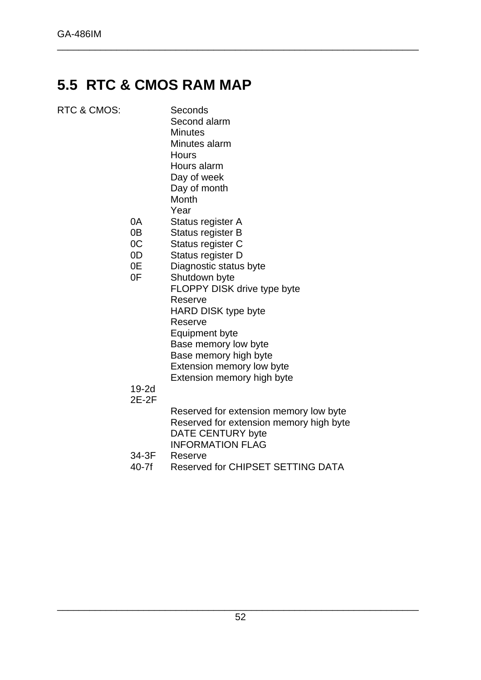### **5.5 RTC & CMOS RAM MAP**

| Day of month<br>Month<br>Year<br>Status register A<br>Status register B<br>Status register C<br>Status register D<br>Diagnostic status byte<br>Shutdown byte<br>FLOPPY DISK drive type byte<br>Reserve |
|--------------------------------------------------------------------------------------------------------------------------------------------------------------------------------------------------------|
| <b>HARD DISK type byte</b><br>Reserve<br>Equinment hyte                                                                                                                                                |
|                                                                                                                                                                                                        |

Equipment byte Base memory low byte Base memory high byte Extension memory low byte Extension memory high byte

\_\_\_\_\_\_\_\_\_\_\_\_\_\_\_\_\_\_\_\_\_\_\_\_\_\_\_\_\_\_\_\_\_\_\_\_\_\_\_\_\_\_\_\_\_\_\_\_\_\_\_\_\_\_\_\_\_\_\_\_\_\_\_\_\_\_\_

### 19-2d

2E-2F

Reserved for extension memory low byte Reserved for extension memory high byte DATE CENTURY byte INFORMATION FLAG

- 34-3F Reserve
- 40-7f Reserved for CHIPSET SETTING DATA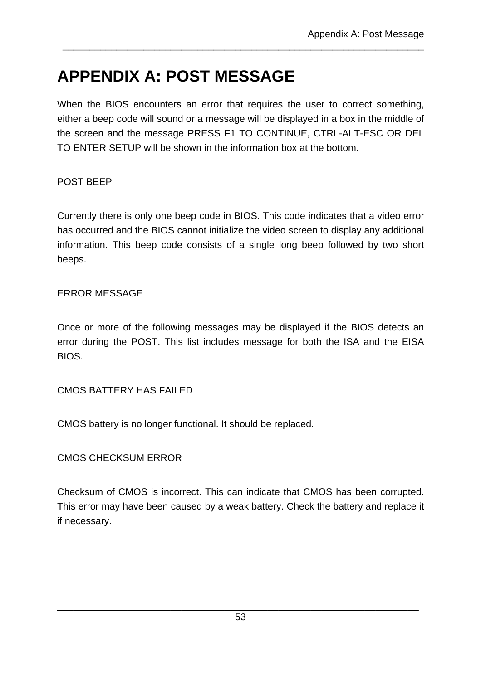# **APPENDIX A: POST MESSAGE**

When the BIOS encounters an error that requires the user to correct something, either a beep code will sound or a message will be displayed in a box in the middle of the screen and the message PRESS F1 TO CONTINUE, CTRL-ALT-ESC OR DEL TO ENTER SETUP will be shown in the information box at the bottom.

\_\_\_\_\_\_\_\_\_\_\_\_\_\_\_\_\_\_\_\_\_\_\_\_\_\_\_\_\_\_\_\_\_\_\_\_\_\_\_\_\_\_\_\_\_\_\_\_\_\_\_\_\_\_\_\_\_\_\_\_\_\_\_\_\_\_\_

### POST BEEP

Currently there is only one beep code in BIOS. This code indicates that a video error has occurred and the BIOS cannot initialize the video screen to display any additional information. This beep code consists of a single long beep followed by two short beeps.

### ERROR MESSAGE

Once or more of the following messages may be displayed if the BIOS detects an error during the POST. This list includes message for both the ISA and the EISA BIOS.

CMOS BATTERY HAS FAILED

CMOS battery is no longer functional. It should be replaced.

CMOS CHECKSUM ERROR

Checksum of CMOS is incorrect. This can indicate that CMOS has been corrupted. This error may have been caused by a weak battery. Check the battery and replace it if necessary.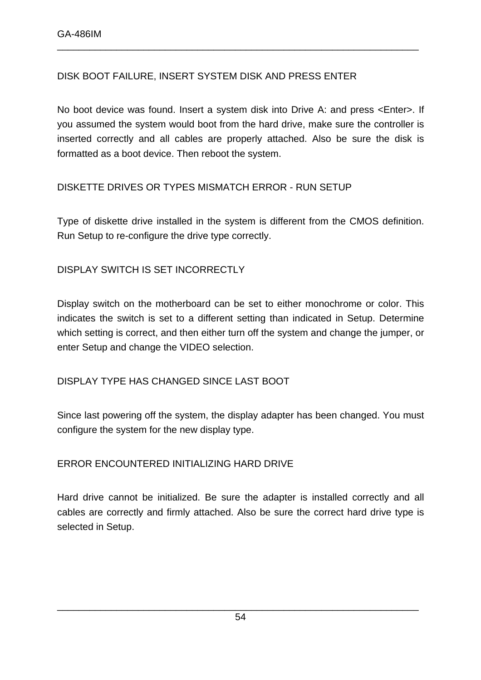### DISK BOOT FAILURE, INSERT SYSTEM DISK AND PRESS ENTER

No boot device was found. Insert a system disk into Drive A: and press <Enter>. If you assumed the system would boot from the hard drive, make sure the controller is inserted correctly and all cables are properly attached. Also be sure the disk is formatted as a boot device. Then reboot the system.

\_\_\_\_\_\_\_\_\_\_\_\_\_\_\_\_\_\_\_\_\_\_\_\_\_\_\_\_\_\_\_\_\_\_\_\_\_\_\_\_\_\_\_\_\_\_\_\_\_\_\_\_\_\_\_\_\_\_\_\_\_\_\_\_\_\_\_

### DISKETTE DRIVES OR TYPES MISMATCH ERROR - RUN SETUP

Type of diskette drive installed in the system is different from the CMOS definition. Run Setup to re-configure the drive type correctly.

### DISPLAY SWITCH IS SET INCORRECTLY

Display switch on the motherboard can be set to either monochrome or color. This indicates the switch is set to a different setting than indicated in Setup. Determine which setting is correct, and then either turn off the system and change the jumper, or enter Setup and change the VIDEO selection.

#### DISPLAY TYPE HAS CHANGED SINCE LAST BOOT

Since last powering off the system, the display adapter has been changed. You must configure the system for the new display type.

#### ERROR ENCOUNTERED INITIALIZING HARD DRIVE

Hard drive cannot be initialized. Be sure the adapter is installed correctly and all cables are correctly and firmly attached. Also be sure the correct hard drive type is selected in Setup.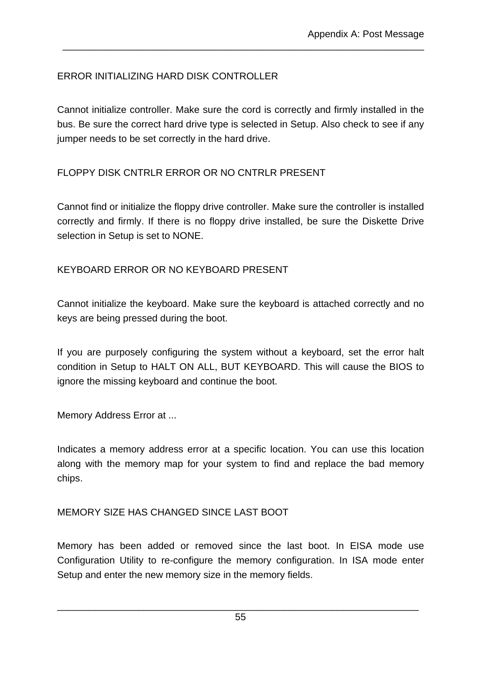### ERROR INITIALIZING HARD DISK CONTROLLER

Cannot initialize controller. Make sure the cord is correctly and firmly installed in the bus. Be sure the correct hard drive type is selected in Setup. Also check to see if any jumper needs to be set correctly in the hard drive.

\_\_\_\_\_\_\_\_\_\_\_\_\_\_\_\_\_\_\_\_\_\_\_\_\_\_\_\_\_\_\_\_\_\_\_\_\_\_\_\_\_\_\_\_\_\_\_\_\_\_\_\_\_\_\_\_\_\_\_\_\_\_\_\_\_\_\_

### FLOPPY DISK CNTRLR ERROR OR NO CNTRLR PRESENT

Cannot find or initialize the floppy drive controller. Make sure the controller is installed correctly and firmly. If there is no floppy drive installed, be sure the Diskette Drive selection in Setup is set to NONE.

### KEYBOARD ERROR OR NO KEYBOARD PRESENT

Cannot initialize the keyboard. Make sure the keyboard is attached correctly and no keys are being pressed during the boot.

If you are purposely configuring the system without a keyboard, set the error halt condition in Setup to HALT ON ALL, BUT KEYBOARD. This will cause the BIOS to ignore the missing keyboard and continue the boot.

Memory Address Error at ...

Indicates a memory address error at a specific location. You can use this location along with the memory map for your system to find and replace the bad memory chips.

### MEMORY SIZE HAS CHANGED SINCE LAST BOOT

Memory has been added or removed since the last boot. In EISA mode use Configuration Utility to re-configure the memory configuration. In ISA mode enter Setup and enter the new memory size in the memory fields.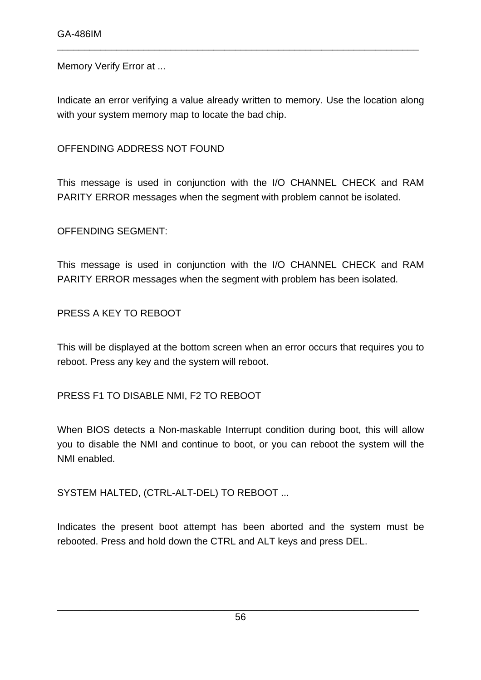Memory Verify Error at ...

Indicate an error verifying a value already written to memory. Use the location along with your system memory map to locate the bad chip.

\_\_\_\_\_\_\_\_\_\_\_\_\_\_\_\_\_\_\_\_\_\_\_\_\_\_\_\_\_\_\_\_\_\_\_\_\_\_\_\_\_\_\_\_\_\_\_\_\_\_\_\_\_\_\_\_\_\_\_\_\_\_\_\_\_\_\_

OFFENDING ADDRESS NOT FOUND

This message is used in conjunction with the I/O CHANNEL CHECK and RAM PARITY ERROR messages when the segment with problem cannot be isolated.

OFFENDING SEGMENT:

This message is used in conjunction with the I/O CHANNEL CHECK and RAM PARITY ERROR messages when the segment with problem has been isolated.

PRESS A KEY TO REBOOT

This will be displayed at the bottom screen when an error occurs that requires you to reboot. Press any key and the system will reboot.

PRESS F1 TO DISABLE NMI, F2 TO REBOOT

When BIOS detects a Non-maskable Interrupt condition during boot, this will allow you to disable the NMI and continue to boot, or you can reboot the system will the NMI enabled.

SYSTEM HALTED, (CTRL-ALT-DEL) TO REBOOT ...

Indicates the present boot attempt has been aborted and the system must be rebooted. Press and hold down the CTRL and ALT keys and press DEL.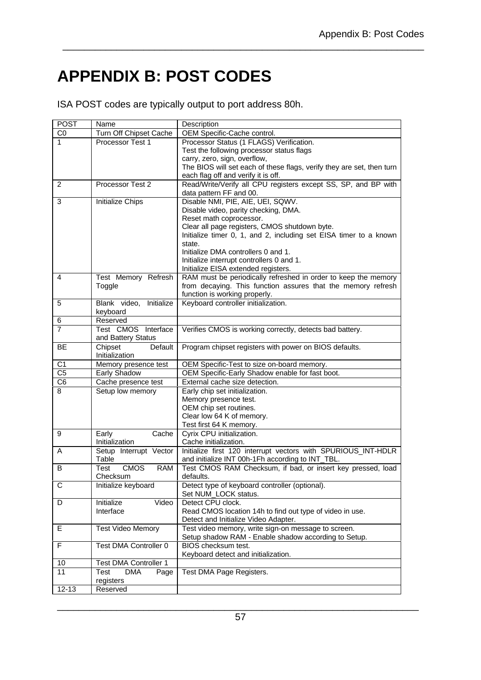# **APPENDIX B: POST CODES**

ISA POST codes are typically output to port address 80h.

| <b>POST</b>         | Name                                    | Description                                                                                                       |
|---------------------|-----------------------------------------|-------------------------------------------------------------------------------------------------------------------|
| C <sub>0</sub>      | Turn Off Chipset Cache                  | OEM Specific-Cache control.                                                                                       |
| 1                   | Processor Test 1                        | Processor Status (1 FLAGS) Verification.                                                                          |
|                     |                                         | Test the following processor status flags                                                                         |
|                     |                                         | carry, zero, sign, overflow,                                                                                      |
|                     |                                         | The BIOS will set each of these flags, verify they are set, then turn                                             |
|                     |                                         | each flag off and verify it is off.                                                                               |
| 2                   | Processor Test 2                        | Read/Write/Verify all CPU registers except SS, SP, and BP with<br>data pattern FF and 00.                         |
| 3                   | Initialize Chips                        | Disable NMI, PIE, AIE, UEI, SQWV.                                                                                 |
|                     |                                         | Disable video, parity checking, DMA.                                                                              |
|                     |                                         | Reset math coprocessor.                                                                                           |
|                     |                                         | Clear all page registers, CMOS shutdown byte.                                                                     |
|                     |                                         | Initialize timer 0, 1, and 2, including set EISA timer to a known                                                 |
|                     |                                         | state.                                                                                                            |
|                     |                                         | Initialize DMA controllers 0 and 1.                                                                               |
|                     |                                         | Initialize interrupt controllers 0 and 1.<br>Initialize EISA extended registers.                                  |
| 4                   | Test Memory Refresh                     | RAM must be periodically refreshed in order to keep the memory                                                    |
|                     | Toggle                                  | from decaying. This function assures that the memory refresh                                                      |
|                     |                                         | function is working properly.                                                                                     |
| 5                   | Blank video,<br>Initialize              | Keyboard controller initialization.                                                                               |
|                     | keyboard                                |                                                                                                                   |
| 6                   | Reserved                                |                                                                                                                   |
| 7                   | Test CMOS Interface                     | Verifies CMOS is working correctly, detects bad battery.                                                          |
|                     | and Battery Status                      |                                                                                                                   |
| <b>BE</b>           | Chipset<br>Default                      | Program chipset registers with power on BIOS defaults.                                                            |
|                     | Initialization                          |                                                                                                                   |
| $\overline{C1}$     | Memory presence test                    | OEM Specific-Test to size on-board memory.                                                                        |
| $\overline{C5}$     | Early Shadow                            | OEM Specific-Early Shadow enable for fast boot.                                                                   |
| C <sub>6</sub><br>8 | Cache presence test<br>Setup low memory | External cache size detection.<br>Early chip set initialization.                                                  |
|                     |                                         | Memory presence test.                                                                                             |
|                     |                                         | OEM chip set routines.                                                                                            |
|                     |                                         | Clear low 64 K of memory.                                                                                         |
|                     |                                         | Test first 64 K memory.                                                                                           |
| 9                   | Early<br>Cache                          | Cyrix CPU initialization.                                                                                         |
|                     | Initialization                          | Cache initialization.                                                                                             |
| A                   | Setup Interrupt Vector<br>Table         | Initialize first 120 interrupt vectors with SPURIOUS INT-HDLR<br>and initialize INT 00h-1Fh according to INT_TBL. |
| В                   | <b>CMOS</b><br><b>RAM</b><br>Test       | Test CMOS RAM Checksum, if bad, or insert key pressed, load                                                       |
|                     | Checksum                                | defaults.                                                                                                         |
| С                   | Initialize keyboard                     | Detect type of keyboard controller (optional).                                                                    |
|                     |                                         | Set NUM_LOCK status.                                                                                              |
| D                   | Initialize<br>Video                     | Detect CPU clock.                                                                                                 |
|                     | Interface                               | Read CMOS location 14h to find out type of video in use.                                                          |
|                     |                                         | Detect and Initialize Video Adapter.                                                                              |
| Е                   | <b>Test Video Memory</b>                | Test video memory, write sign-on message to screen.                                                               |
|                     |                                         | Setup shadow RAM - Enable shadow according to Setup.                                                              |
| F                   | <b>Test DMA Controller 0</b>            | BIOS checksum test.                                                                                               |
| 10                  | <b>Test DMA Controller 1</b>            | Keyboard detect and initialization.                                                                               |
| 11                  | <b>DMA</b><br>Test<br>Page              | Test DMA Page Registers.                                                                                          |
|                     | registers                               |                                                                                                                   |
| $12 - 13$           | Reserved                                |                                                                                                                   |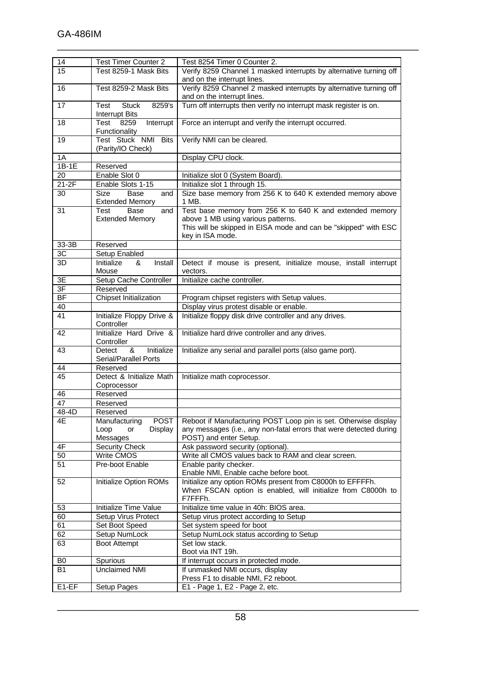| 14                  | <b>Test Timer Counter 2</b>       | Test 8254 Timer 0 Counter 2.                                          |
|---------------------|-----------------------------------|-----------------------------------------------------------------------|
| 15                  | Test 8259-1 Mask Bits             | Verify 8259 Channel 1 masked interrupts by alternative turning off    |
|                     |                                   | and on the interrupt lines.                                           |
|                     |                                   |                                                                       |
| 16                  | Test 8259-2 Mask Bits             | Verify 8259 Channel 2 masked interrupts by alternative turning off    |
|                     |                                   | and on the interrupt lines.                                           |
| 17                  | <b>Stuck</b><br>8259's<br>Test    | Turn off interrupts then verify no interrupt mask register is on.     |
|                     |                                   |                                                                       |
|                     | <b>Interrupt Bits</b>             |                                                                       |
| 18                  | Test<br>8259<br>Interrupt         | Force an interrupt and verify the interrupt occurred.                 |
|                     | Functionality                     |                                                                       |
|                     |                                   |                                                                       |
| 19                  | Test Stuck NMI Bits               | Verify NMI can be cleared.                                            |
|                     | (Parity/IO Check)                 |                                                                       |
| 1A                  |                                   | Display CPU clock.                                                    |
|                     |                                   |                                                                       |
| $1B-1E$             | Reserved                          |                                                                       |
| 20                  | Enable Slot 0                     | Initialize slot 0 (System Board).                                     |
| $21-2F$             | Enable Slots 1-15                 |                                                                       |
|                     |                                   | Initialize slot 1 through 15.                                         |
| 30                  | <b>Size</b><br><b>Base</b><br>and | Size base memory from 256 K to 640 K extended memory above            |
|                     | <b>Extended Memory</b>            | 1 MB.                                                                 |
|                     |                                   |                                                                       |
| 31                  | <b>Base</b><br>Test<br>and        | Test base memory from 256 K to 640 K and extended memory              |
|                     | <b>Extended Memory</b>            | above 1 MB using various patterns.                                    |
|                     |                                   | This will be skipped in EISA mode and can be "skipped" with ESC       |
|                     |                                   |                                                                       |
|                     |                                   | key in ISA mode.                                                      |
| 33-3B               | Reserved                          |                                                                       |
| 3C                  | Setup Enabled                     |                                                                       |
|                     |                                   |                                                                       |
| 3D                  | Initialize<br>&<br>Install        | Detect if mouse is present, initialize mouse, install interrupt       |
|                     | Mouse                             | vectors.                                                              |
|                     |                                   | Initialize cache controller.                                          |
| 3E                  | Setup Cache Controller            |                                                                       |
| 3F                  | Reserved                          |                                                                       |
| <b>BF</b>           | <b>Chipset Initialization</b>     | Program chipset registers with Setup values.                          |
|                     |                                   |                                                                       |
| 40                  |                                   | Display virus protest disable or enable.                              |
| 41                  | Initialize Floppy Drive &         | Initialize floppy disk drive controller and any drives.               |
|                     | Controller                        |                                                                       |
|                     |                                   |                                                                       |
| 42                  | Initialize Hard Drive &           | Initialize hard drive controller and any drives.                      |
|                     | Controller                        |                                                                       |
| 43                  | Initialize<br>&<br>Detect         | Initialize any serial and parallel ports (also game port).            |
|                     |                                   |                                                                       |
|                     | Serial/Parallel Ports             |                                                                       |
| 44                  | Reserved                          |                                                                       |
| 45                  | Detect & Initialize Math          |                                                                       |
|                     |                                   | Initialize math coprocessor.                                          |
|                     | Coprocessor                       |                                                                       |
| 46                  | Reserved                          |                                                                       |
|                     |                                   |                                                                       |
| 47                  | Reserved                          |                                                                       |
| $\overline{48}$ -4D | Reserved                          |                                                                       |
| 4E                  | Manufacturing<br><b>POST</b>      | Reboot if Manufacturing POST Loop pin is set. Otherwise display       |
|                     |                                   |                                                                       |
|                     | Display<br>Loop<br>or             | any messages (i.e., any non-fatal errors that were detected during    |
|                     |                                   |                                                                       |
|                     |                                   |                                                                       |
|                     | Messages                          | POST) and enter Setup.                                                |
| 4F                  | Security Check                    | Ask password security (optional).                                     |
| 50                  | Write CMOS                        | Write all CMOS values back to RAM and clear screen.                   |
|                     |                                   |                                                                       |
| 51                  | Pre-boot Enable                   | Enable parity checker.                                                |
|                     |                                   | Enable NMI, Enable cache before boot.                                 |
| 52                  | Initialize Option ROMs            | Initialize any option ROMs present from C8000h to EFFFFh.             |
|                     |                                   |                                                                       |
|                     |                                   | When FSCAN option is enabled, will initialize from C8000h to          |
|                     |                                   | F7FFFh.                                                               |
| 53                  | Initialize Time Value             | Initialize time value in 40h: BIOS area.                              |
|                     |                                   |                                                                       |
| 60                  | Setup Virus Protect               | Setup virus protect according to Setup                                |
| 61                  | Set Boot Speed                    | Set system speed for boot                                             |
| 62                  | Setup NumLock                     | Setup NumLock status according to Setup                               |
|                     |                                   |                                                                       |
| 63                  | Boot Attempt                      | Set low stack.                                                        |
|                     |                                   | Boot via INT 19h.                                                     |
| B0                  |                                   |                                                                       |
|                     | Spurious                          | If interrupt occurs in protected mode.                                |
| <b>B1</b>           | Unclaimed NMI                     | If unmasked NMI occurs, display                                       |
| E1-EF               | Setup Pages                       | Press F1 to disable NMI, F2 reboot.<br>E1 - Page 1, E2 - Page 2, etc. |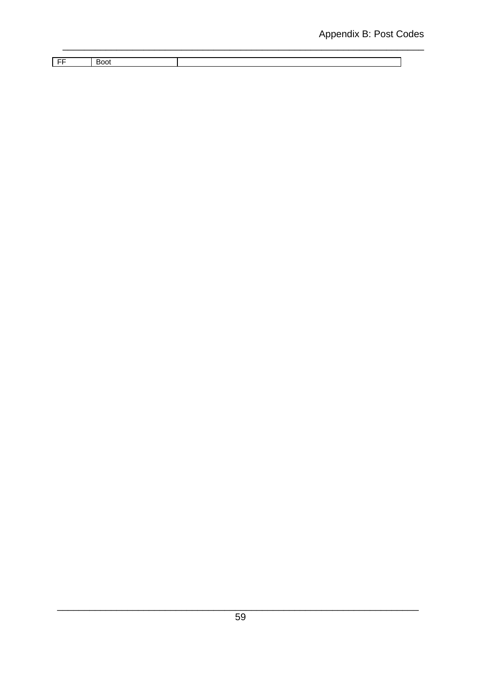| $ -$ | . |  |
|------|---|--|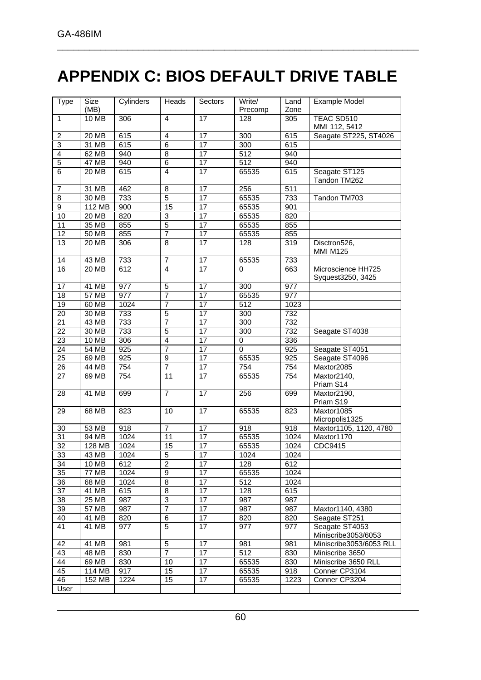# **APPENDIX C: BIOS DEFAULT DRIVE TABLE**

| <b>Type</b>     | Size         | Cylinders | Heads                   | Sectors         | Write/           | Land             | <b>Example Model</b>                  |
|-----------------|--------------|-----------|-------------------------|-----------------|------------------|------------------|---------------------------------------|
|                 | (MB)         |           |                         |                 | Precomp          | Zone             |                                       |
| $\mathbf{1}$    | 10 MB        | 306       | $\overline{4}$          | 17              | 128              | $\overline{305}$ | TEAC SD510                            |
|                 |              |           |                         |                 |                  |                  | MMI 112, 5412                         |
| $\overline{c}$  | 20 MB        | 615       | 4                       | 17              | 300              | $\overline{615}$ | Seagate ST225, ST4026                 |
| $\overline{3}$  | 31 MB        | 615       | $\overline{6}$          | 17              | 300              | 615              |                                       |
| $\overline{4}$  | 62 MB        | 940       | 8                       | 17              | $\overline{512}$ | 940              |                                       |
| $\overline{5}$  | <b>47 MB</b> | 940       | $\overline{6}$          | 17              | $\overline{512}$ | 940              |                                       |
| $\overline{6}$  | 20 MB        | 615       | $\overline{4}$          | 17              | 65535            | 615              | Seagate ST125<br>Tandon TM262         |
| 7               | 31 MB        | 462       | $\overline{8}$          | $\overline{17}$ | 256              | 511              |                                       |
| 8               | 30 MB        | 733       | 5                       | 17              | 65535            | 733              | Tandon TM703                          |
| $\overline{9}$  | 112 MB       | 900       | 15                      | $\overline{17}$ | 65535            | 901              |                                       |
| 10              | <b>20 MB</b> | 820       | 3                       | 17              | 65535            | 820              |                                       |
| $\overline{11}$ | 35 MB        | 855       | $\overline{5}$          | $\overline{17}$ | 65535            | 855              |                                       |
| 12              | <b>50 MB</b> | 855       | 7                       | 17              | 65535            | 855              |                                       |
| 13              | 20 MB        | 306       | 8                       | 17              | 128              | 319              | Disctron526,                          |
|                 |              |           |                         |                 |                  |                  | <b>MMI M125</b>                       |
| 14              | 43 MB        | 733       | $\overline{7}$          | $\overline{17}$ | 65535            | 733              |                                       |
| 16              | 20 MB        | 612       | $\overline{4}$          | 17              | 0                | 663              | Microscience HH725                    |
|                 |              |           |                         |                 |                  |                  | Syquest3250, 3425                     |
| 17              | 41 MB        | 977       | 5                       | 17              | 300              | $\overline{977}$ |                                       |
| 18              | 57 MB        | 977       | 7                       | 17              | 65535            | 977              |                                       |
| 19              | 60 MB        | 1024      | 7                       | 17              | 512              | 1023             |                                       |
| $\overline{20}$ | 30 MB        | 733       | $\overline{5}$          | $\overline{17}$ | 300              | 732              |                                       |
| $\overline{21}$ | 43 MB        | 733       | $\overline{7}$          | 17              | 300              | 732              |                                       |
| $\overline{22}$ | 30 MB        | 733       | $\overline{5}$          | 17              | 300              | 732              | Seagate ST4038                        |
| 23              | 10 MB        | 306       | $\overline{\mathbf{4}}$ | 17              | 0                | 336              |                                       |
| 24              | 54 MB        | 925       | 7                       | 17              | $\mathbf 0$      | 925              | Seagate ST4051                        |
| 25              | 69 MB        | 925       | $\overline{9}$          | $\overline{17}$ | 65535            | 925              | Seagate ST4096                        |
| 26              | 44 MB        | 754       | 7                       | 17              | 754              | 754              | Maxtor2085                            |
| 27              | 69 MB        | 754       | 11                      | $\overline{17}$ | 65535            | 754              | Maxtor2140,                           |
|                 |              |           |                         |                 |                  |                  | Priam S14                             |
| 28              | 41 MB        | 699       | $\overline{7}$          | $\overline{17}$ | 256              | 699              | Maxtor2190,<br>Priam S19              |
| 29              | 68 MB        | 823       | 10                      | 17              | 65535            | 823              | Maxtor1085                            |
|                 |              |           |                         |                 |                  |                  | Micropolis1325                        |
| 30              | 53 MB        | 918       | $\overline{7}$          | 17              | 918              | 918              | Maxtor1105, 1120, 4780                |
| $\overline{31}$ | 94 MB        | 1024      | $\overline{11}$         | $\overline{17}$ | 65535            | 1024             | Maxtor1170                            |
| $\overline{32}$ | 128 MB       | 1024      | 15                      | 17              | 65535            | 1024             | CDC9415                               |
| 33              | 43 MB        | 1024      | 5                       | $\overline{17}$ | 1024             | 1024             |                                       |
| 34              | 10 MB        | 612       | $\overline{c}$          | 17              | 128              | 612              |                                       |
| 35              | <b>77 MB</b> | 1024      | 9                       | 17              | 65535            | 1024             |                                       |
| 36              | 68 MB        | 1024      | 8                       | 17              | 512              | 1024             |                                       |
| 37              | 41 MB        | 615       | 8                       | 17              | 128              | 615              |                                       |
| 38              | 25 MB        | 987       | 3                       | 17              | 987              | 987              |                                       |
| 39              | 57 MB        | 987       | 7                       | 17              | 987              | 987              | Maxtor1140, 4380                      |
| 40              | 41 MB        | 820       | 6                       | 17              | 820              | 820              | Seagate ST251                         |
| 41              | 41 MB        | 977       | 5                       | 17              | 977              | 977              | Seagate ST4053<br>Miniscribe3053/6053 |
| 42              | 41 MB        | 981       | $\mathbf 5$             | 17              | 981              | 981              | Miniscribe3053/6053 RLL               |
| 43              | 48 MB        | 830       | 7                       | 17              | 512              | 830              | Miniscribe 3650                       |
| 44              | 69 MB        | 830       | 10                      | 17              | 65535            | 830              | Miniscribe 3650 RLL                   |
| 45              | 114 MB       | 917       | 15                      | 17              | 65535            | 918              | Conner CP3104                         |
| 46              | 152 MB       | 1224      | $\overline{15}$         | 17              | 65535            | 1223             | Conner CP3204                         |
| User            |              |           |                         |                 |                  |                  |                                       |